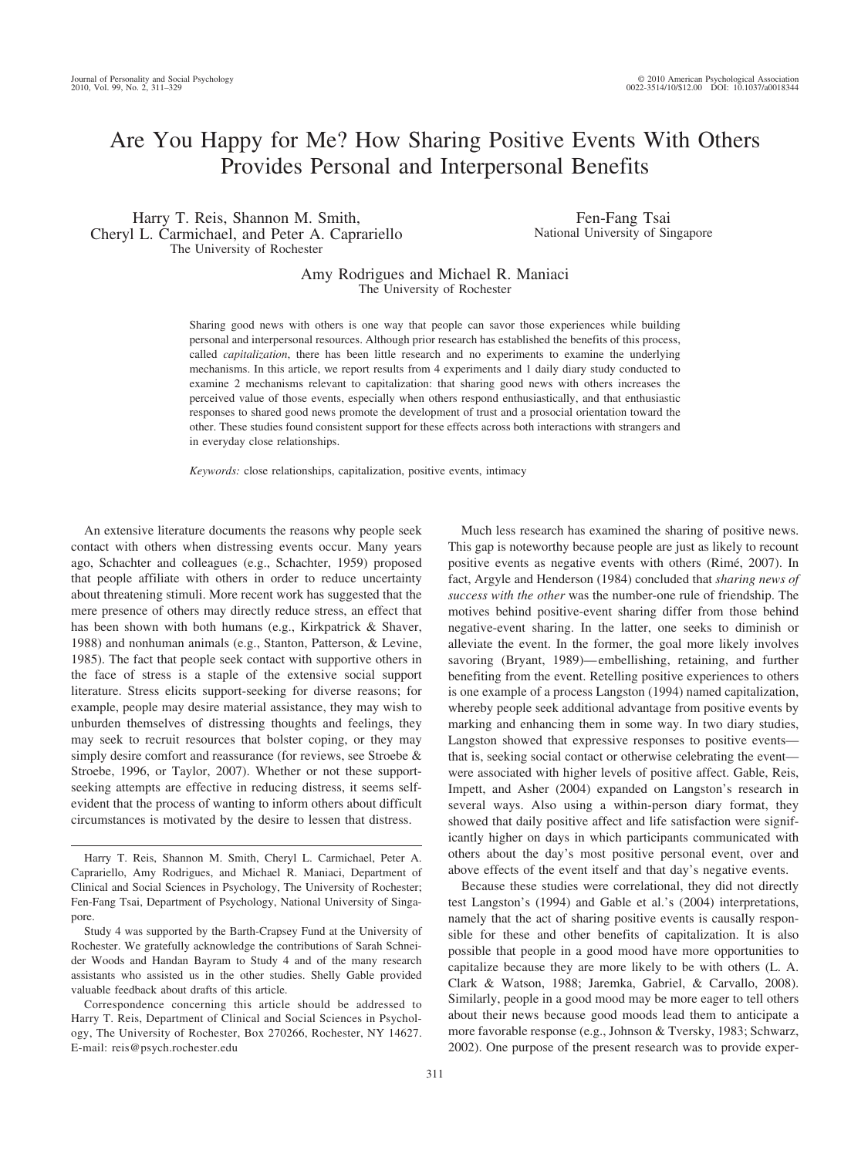# Are You Happy for Me? How Sharing Positive Events With Others Provides Personal and Interpersonal Benefits

Harry T. Reis, Shannon M. Smith, Cheryl L. Carmichael, and Peter A. Caprariello The University of Rochester

Fen-Fang Tsai National University of Singapore

Amy Rodrigues and Michael R. Maniaci The University of Rochester

Sharing good news with others is one way that people can savor those experiences while building personal and interpersonal resources. Although prior research has established the benefits of this process, called *capitalization*, there has been little research and no experiments to examine the underlying mechanisms. In this article, we report results from 4 experiments and 1 daily diary study conducted to examine 2 mechanisms relevant to capitalization: that sharing good news with others increases the perceived value of those events, especially when others respond enthusiastically, and that enthusiastic responses to shared good news promote the development of trust and a prosocial orientation toward the other. These studies found consistent support for these effects across both interactions with strangers and in everyday close relationships.

*Keywords:* close relationships, capitalization, positive events, intimacy

An extensive literature documents the reasons why people seek contact with others when distressing events occur. Many years ago, Schachter and colleagues (e.g., Schachter, 1959) proposed that people affiliate with others in order to reduce uncertainty about threatening stimuli. More recent work has suggested that the mere presence of others may directly reduce stress, an effect that has been shown with both humans (e.g., Kirkpatrick & Shaver, 1988) and nonhuman animals (e.g., Stanton, Patterson, & Levine, 1985). The fact that people seek contact with supportive others in the face of stress is a staple of the extensive social support literature. Stress elicits support-seeking for diverse reasons; for example, people may desire material assistance, they may wish to unburden themselves of distressing thoughts and feelings, they may seek to recruit resources that bolster coping, or they may simply desire comfort and reassurance (for reviews, see Stroebe & Stroebe, 1996, or Taylor, 2007). Whether or not these supportseeking attempts are effective in reducing distress, it seems selfevident that the process of wanting to inform others about difficult circumstances is motivated by the desire to lessen that distress.

Correspondence concerning this article should be addressed to Harry T. Reis, Department of Clinical and Social Sciences in Psychology, The University of Rochester, Box 270266, Rochester, NY 14627. E-mail: reis@psych.rochester.edu

Much less research has examined the sharing of positive news. This gap is noteworthy because people are just as likely to recount positive events as negative events with others (Rimé, 2007). In fact, Argyle and Henderson (1984) concluded that *sharing news of success with the other* was the number-one rule of friendship. The motives behind positive-event sharing differ from those behind negative-event sharing. In the latter, one seeks to diminish or alleviate the event. In the former, the goal more likely involves savoring (Bryant, 1989)— embellishing, retaining, and further benefiting from the event. Retelling positive experiences to others is one example of a process Langston (1994) named capitalization, whereby people seek additional advantage from positive events by marking and enhancing them in some way. In two diary studies, Langston showed that expressive responses to positive events that is, seeking social contact or otherwise celebrating the event were associated with higher levels of positive affect. Gable, Reis, Impett, and Asher (2004) expanded on Langston's research in several ways. Also using a within-person diary format, they showed that daily positive affect and life satisfaction were significantly higher on days in which participants communicated with others about the day's most positive personal event, over and above effects of the event itself and that day's negative events.

Because these studies were correlational, they did not directly test Langston's (1994) and Gable et al.'s (2004) interpretations, namely that the act of sharing positive events is causally responsible for these and other benefits of capitalization. It is also possible that people in a good mood have more opportunities to capitalize because they are more likely to be with others (L. A. Clark & Watson, 1988; Jaremka, Gabriel, & Carvallo, 2008). Similarly, people in a good mood may be more eager to tell others about their news because good moods lead them to anticipate a more favorable response (e.g., Johnson & Tversky, 1983; Schwarz, 2002). One purpose of the present research was to provide exper-

Harry T. Reis, Shannon M. Smith, Cheryl L. Carmichael, Peter A. Caprariello, Amy Rodrigues, and Michael R. Maniaci, Department of Clinical and Social Sciences in Psychology, The University of Rochester; Fen-Fang Tsai, Department of Psychology, National University of Singapore.

Study 4 was supported by the Barth-Crapsey Fund at the University of Rochester. We gratefully acknowledge the contributions of Sarah Schneider Woods and Handan Bayram to Study 4 and of the many research assistants who assisted us in the other studies. Shelly Gable provided valuable feedback about drafts of this article.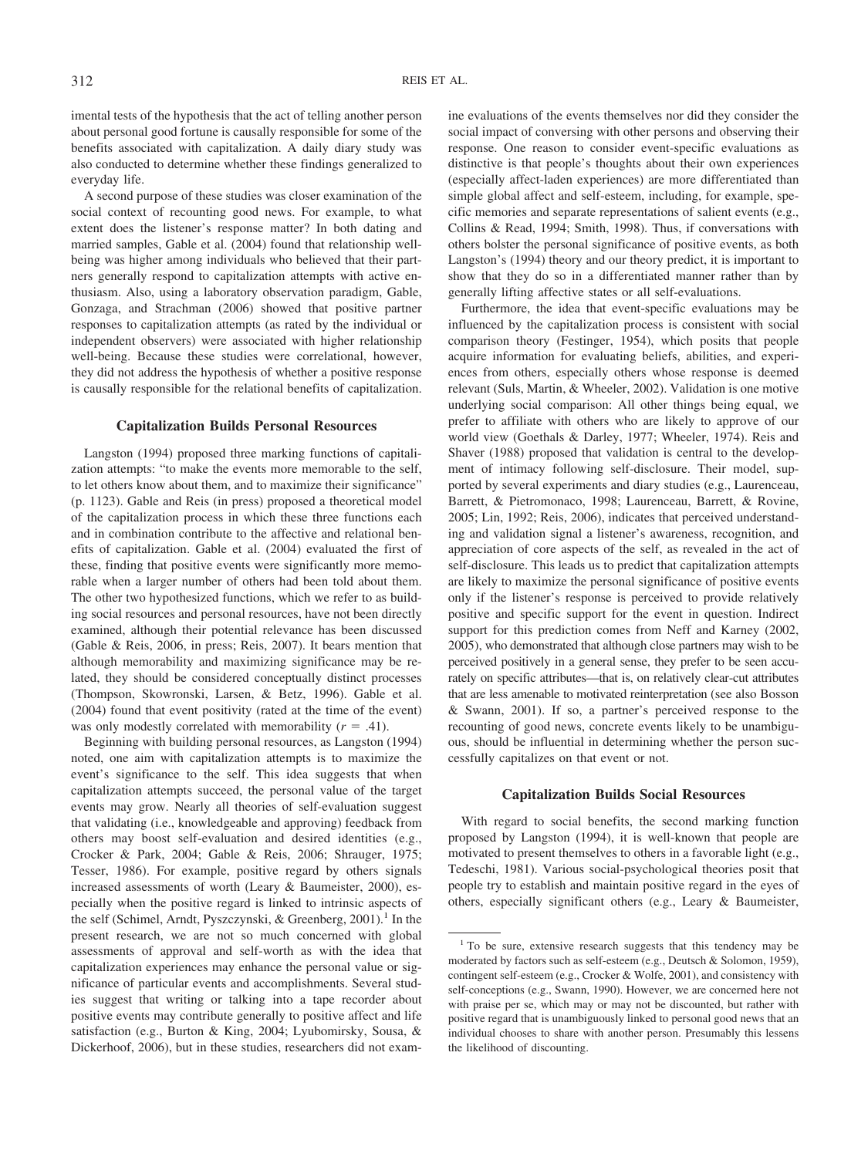imental tests of the hypothesis that the act of telling another person about personal good fortune is causally responsible for some of the benefits associated with capitalization. A daily diary study was also conducted to determine whether these findings generalized to everyday life.

A second purpose of these studies was closer examination of the social context of recounting good news. For example, to what extent does the listener's response matter? In both dating and married samples, Gable et al. (2004) found that relationship wellbeing was higher among individuals who believed that their partners generally respond to capitalization attempts with active enthusiasm. Also, using a laboratory observation paradigm, Gable, Gonzaga, and Strachman (2006) showed that positive partner responses to capitalization attempts (as rated by the individual or independent observers) were associated with higher relationship well-being. Because these studies were correlational, however, they did not address the hypothesis of whether a positive response is causally responsible for the relational benefits of capitalization.

### **Capitalization Builds Personal Resources**

Langston (1994) proposed three marking functions of capitalization attempts: "to make the events more memorable to the self, to let others know about them, and to maximize their significance" (p. 1123). Gable and Reis (in press) proposed a theoretical model of the capitalization process in which these three functions each and in combination contribute to the affective and relational benefits of capitalization. Gable et al. (2004) evaluated the first of these, finding that positive events were significantly more memorable when a larger number of others had been told about them. The other two hypothesized functions, which we refer to as building social resources and personal resources, have not been directly examined, although their potential relevance has been discussed (Gable & Reis, 2006, in press; Reis, 2007). It bears mention that although memorability and maximizing significance may be related, they should be considered conceptually distinct processes (Thompson, Skowronski, Larsen, & Betz, 1996). Gable et al. (2004) found that event positivity (rated at the time of the event) was only modestly correlated with memorability  $(r = .41)$ .

Beginning with building personal resources, as Langston (1994) noted, one aim with capitalization attempts is to maximize the event's significance to the self. This idea suggests that when capitalization attempts succeed, the personal value of the target events may grow. Nearly all theories of self-evaluation suggest that validating (i.e., knowledgeable and approving) feedback from others may boost self-evaluation and desired identities (e.g., Crocker & Park, 2004; Gable & Reis, 2006; Shrauger, 1975; Tesser, 1986). For example, positive regard by others signals increased assessments of worth (Leary & Baumeister, 2000), especially when the positive regard is linked to intrinsic aspects of the self (Schimel, Arndt, Pyszczynski, & Greenberg, 2001).<sup>1</sup> In the present research, we are not so much concerned with global assessments of approval and self-worth as with the idea that capitalization experiences may enhance the personal value or significance of particular events and accomplishments. Several studies suggest that writing or talking into a tape recorder about positive events may contribute generally to positive affect and life satisfaction (e.g., Burton & King, 2004; Lyubomirsky, Sousa, & Dickerhoof, 2006), but in these studies, researchers did not examine evaluations of the events themselves nor did they consider the social impact of conversing with other persons and observing their response. One reason to consider event-specific evaluations as distinctive is that people's thoughts about their own experiences (especially affect-laden experiences) are more differentiated than simple global affect and self-esteem, including, for example, specific memories and separate representations of salient events (e.g., Collins & Read, 1994; Smith, 1998). Thus, if conversations with others bolster the personal significance of positive events, as both Langston's (1994) theory and our theory predict, it is important to show that they do so in a differentiated manner rather than by generally lifting affective states or all self-evaluations.

Furthermore, the idea that event-specific evaluations may be influenced by the capitalization process is consistent with social comparison theory (Festinger, 1954), which posits that people acquire information for evaluating beliefs, abilities, and experiences from others, especially others whose response is deemed relevant (Suls, Martin, & Wheeler, 2002). Validation is one motive underlying social comparison: All other things being equal, we prefer to affiliate with others who are likely to approve of our world view (Goethals & Darley, 1977; Wheeler, 1974). Reis and Shaver (1988) proposed that validation is central to the development of intimacy following self-disclosure. Their model, supported by several experiments and diary studies (e.g., Laurenceau, Barrett, & Pietromonaco, 1998; Laurenceau, Barrett, & Rovine, 2005; Lin, 1992; Reis, 2006), indicates that perceived understanding and validation signal a listener's awareness, recognition, and appreciation of core aspects of the self, as revealed in the act of self-disclosure. This leads us to predict that capitalization attempts are likely to maximize the personal significance of positive events only if the listener's response is perceived to provide relatively positive and specific support for the event in question. Indirect support for this prediction comes from Neff and Karney (2002, 2005), who demonstrated that although close partners may wish to be perceived positively in a general sense, they prefer to be seen accurately on specific attributes—that is, on relatively clear-cut attributes that are less amenable to motivated reinterpretation (see also Bosson & Swann, 2001). If so, a partner's perceived response to the recounting of good news, concrete events likely to be unambiguous, should be influential in determining whether the person successfully capitalizes on that event or not.

### **Capitalization Builds Social Resources**

With regard to social benefits, the second marking function proposed by Langston (1994), it is well-known that people are motivated to present themselves to others in a favorable light (e.g., Tedeschi, 1981). Various social-psychological theories posit that people try to establish and maintain positive regard in the eyes of others, especially significant others (e.g., Leary & Baumeister,

<sup>&</sup>lt;sup>1</sup> To be sure, extensive research suggests that this tendency may be moderated by factors such as self-esteem (e.g., Deutsch & Solomon, 1959), contingent self-esteem (e.g., Crocker & Wolfe, 2001), and consistency with self-conceptions (e.g., Swann, 1990). However, we are concerned here not with praise per se, which may or may not be discounted, but rather with positive regard that is unambiguously linked to personal good news that an individual chooses to share with another person. Presumably this lessens the likelihood of discounting.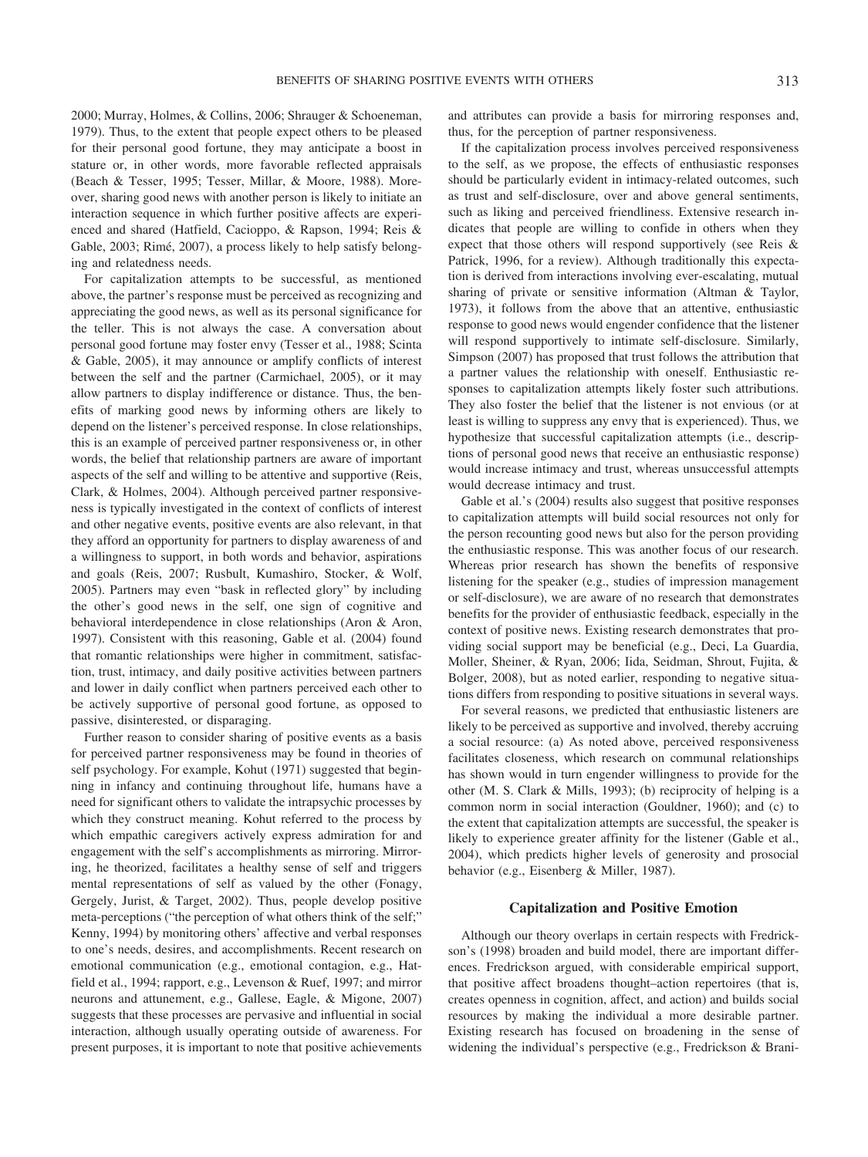2000; Murray, Holmes, & Collins, 2006; Shrauger & Schoeneman, 1979). Thus, to the extent that people expect others to be pleased for their personal good fortune, they may anticipate a boost in stature or, in other words, more favorable reflected appraisals (Beach & Tesser, 1995; Tesser, Millar, & Moore, 1988). Moreover, sharing good news with another person is likely to initiate an interaction sequence in which further positive affects are experienced and shared (Hatfield, Cacioppo, & Rapson, 1994; Reis & Gable, 2003; Rimé, 2007), a process likely to help satisfy belonging and relatedness needs.

For capitalization attempts to be successful, as mentioned above, the partner's response must be perceived as recognizing and appreciating the good news, as well as its personal significance for the teller. This is not always the case. A conversation about personal good fortune may foster envy (Tesser et al., 1988; Scinta & Gable, 2005), it may announce or amplify conflicts of interest between the self and the partner (Carmichael, 2005), or it may allow partners to display indifference or distance. Thus, the benefits of marking good news by informing others are likely to depend on the listener's perceived response. In close relationships, this is an example of perceived partner responsiveness or, in other words, the belief that relationship partners are aware of important aspects of the self and willing to be attentive and supportive (Reis, Clark, & Holmes, 2004). Although perceived partner responsiveness is typically investigated in the context of conflicts of interest and other negative events, positive events are also relevant, in that they afford an opportunity for partners to display awareness of and a willingness to support, in both words and behavior, aspirations and goals (Reis, 2007; Rusbult, Kumashiro, Stocker, & Wolf, 2005). Partners may even "bask in reflected glory" by including the other's good news in the self, one sign of cognitive and behavioral interdependence in close relationships (Aron & Aron, 1997). Consistent with this reasoning, Gable et al. (2004) found that romantic relationships were higher in commitment, satisfaction, trust, intimacy, and daily positive activities between partners and lower in daily conflict when partners perceived each other to be actively supportive of personal good fortune, as opposed to passive, disinterested, or disparaging.

Further reason to consider sharing of positive events as a basis for perceived partner responsiveness may be found in theories of self psychology. For example, Kohut (1971) suggested that beginning in infancy and continuing throughout life, humans have a need for significant others to validate the intrapsychic processes by which they construct meaning. Kohut referred to the process by which empathic caregivers actively express admiration for and engagement with the self's accomplishments as mirroring. Mirroring, he theorized, facilitates a healthy sense of self and triggers mental representations of self as valued by the other (Fonagy, Gergely, Jurist, & Target, 2002). Thus, people develop positive meta-perceptions ("the perception of what others think of the self;" Kenny, 1994) by monitoring others' affective and verbal responses to one's needs, desires, and accomplishments. Recent research on emotional communication (e.g., emotional contagion, e.g., Hatfield et al., 1994; rapport, e.g., Levenson & Ruef, 1997; and mirror neurons and attunement, e.g., Gallese, Eagle, & Migone, 2007) suggests that these processes are pervasive and influential in social interaction, although usually operating outside of awareness. For present purposes, it is important to note that positive achievements and attributes can provide a basis for mirroring responses and, thus, for the perception of partner responsiveness.

If the capitalization process involves perceived responsiveness to the self, as we propose, the effects of enthusiastic responses should be particularly evident in intimacy-related outcomes, such as trust and self-disclosure, over and above general sentiments, such as liking and perceived friendliness. Extensive research indicates that people are willing to confide in others when they expect that those others will respond supportively (see Reis & Patrick, 1996, for a review). Although traditionally this expectation is derived from interactions involving ever-escalating, mutual sharing of private or sensitive information (Altman & Taylor, 1973), it follows from the above that an attentive, enthusiastic response to good news would engender confidence that the listener will respond supportively to intimate self-disclosure. Similarly, Simpson (2007) has proposed that trust follows the attribution that a partner values the relationship with oneself. Enthusiastic responses to capitalization attempts likely foster such attributions. They also foster the belief that the listener is not envious (or at least is willing to suppress any envy that is experienced). Thus, we hypothesize that successful capitalization attempts (i.e., descriptions of personal good news that receive an enthusiastic response) would increase intimacy and trust, whereas unsuccessful attempts would decrease intimacy and trust.

Gable et al.'s (2004) results also suggest that positive responses to capitalization attempts will build social resources not only for the person recounting good news but also for the person providing the enthusiastic response. This was another focus of our research. Whereas prior research has shown the benefits of responsive listening for the speaker (e.g., studies of impression management or self-disclosure), we are aware of no research that demonstrates benefits for the provider of enthusiastic feedback, especially in the context of positive news. Existing research demonstrates that providing social support may be beneficial (e.g., Deci, La Guardia, Moller, Sheiner, & Ryan, 2006; Iida, Seidman, Shrout, Fujita, & Bolger, 2008), but as noted earlier, responding to negative situations differs from responding to positive situations in several ways.

For several reasons, we predicted that enthusiastic listeners are likely to be perceived as supportive and involved, thereby accruing a social resource: (a) As noted above, perceived responsiveness facilitates closeness, which research on communal relationships has shown would in turn engender willingness to provide for the other (M. S. Clark & Mills, 1993); (b) reciprocity of helping is a common norm in social interaction (Gouldner, 1960); and (c) to the extent that capitalization attempts are successful, the speaker is likely to experience greater affinity for the listener (Gable et al., 2004), which predicts higher levels of generosity and prosocial behavior (e.g., Eisenberg & Miller, 1987).

### **Capitalization and Positive Emotion**

Although our theory overlaps in certain respects with Fredrickson's (1998) broaden and build model, there are important differences. Fredrickson argued, with considerable empirical support, that positive affect broadens thought–action repertoires (that is, creates openness in cognition, affect, and action) and builds social resources by making the individual a more desirable partner. Existing research has focused on broadening in the sense of widening the individual's perspective (e.g., Fredrickson & Brani-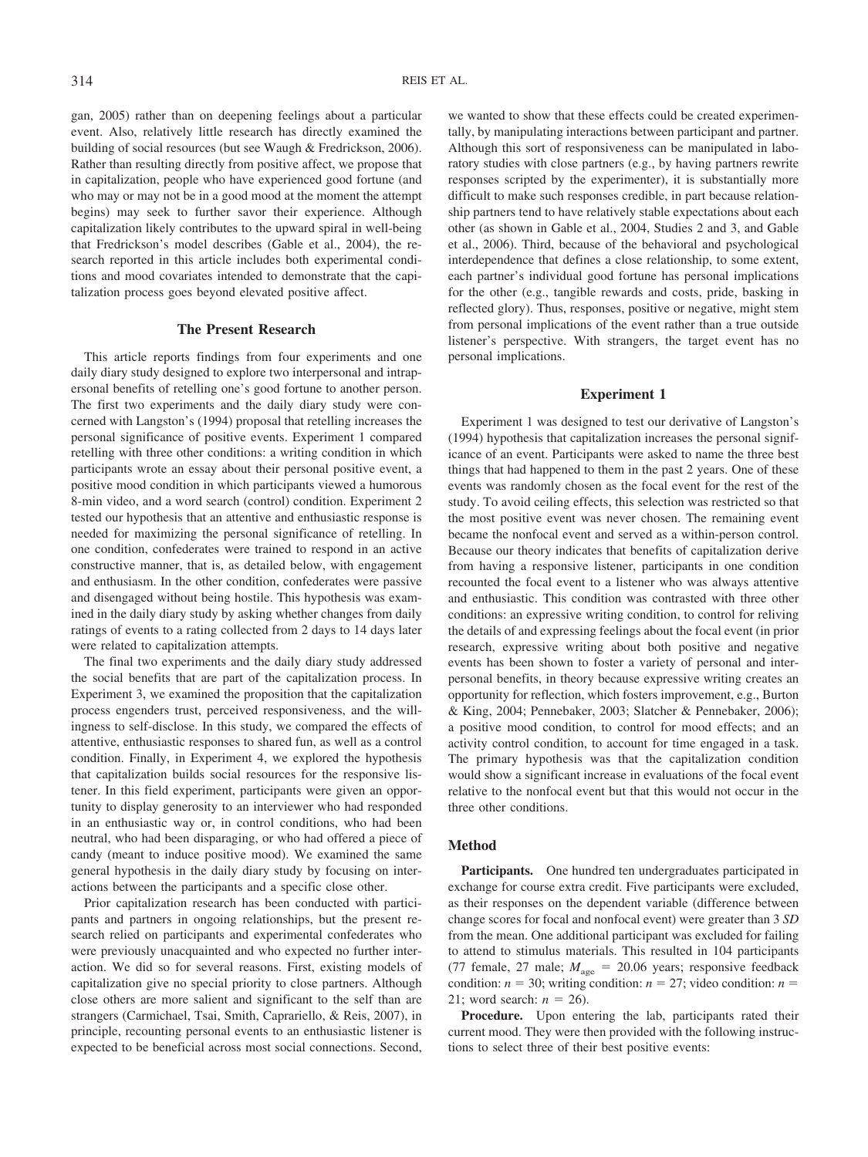gan, 2005) rather than on deepening feelings about a particular event. Also, relatively little research has directly examined the building of social resources (but see Waugh & Fredrickson, 2006). Rather than resulting directly from positive affect, we propose that in capitalization, people who have experienced good fortune (and who may or may not be in a good mood at the moment the attempt begins) may seek to further savor their experience. Although capitalization likely contributes to the upward spiral in well-being that Fredrickson's model describes (Gable et al., 2004), the research reported in this article includes both experimental conditions and mood covariates intended to demonstrate that the capitalization process goes beyond elevated positive affect.

# **The Present Research**

This article reports findings from four experiments and one daily diary study designed to explore two interpersonal and intrapersonal benefits of retelling one's good fortune to another person. The first two experiments and the daily diary study were concerned with Langston's (1994) proposal that retelling increases the personal significance of positive events. Experiment 1 compared retelling with three other conditions: a writing condition in which participants wrote an essay about their personal positive event, a positive mood condition in which participants viewed a humorous 8-min video, and a word search (control) condition. Experiment 2 tested our hypothesis that an attentive and enthusiastic response is needed for maximizing the personal significance of retelling. In one condition, confederates were trained to respond in an active constructive manner, that is, as detailed below, with engagement and enthusiasm. In the other condition, confederates were passive and disengaged without being hostile. This hypothesis was examined in the daily diary study by asking whether changes from daily ratings of events to a rating collected from 2 days to 14 days later were related to capitalization attempts.

The final two experiments and the daily diary study addressed the social benefits that are part of the capitalization process. In Experiment 3, we examined the proposition that the capitalization process engenders trust, perceived responsiveness, and the willingness to self-disclose. In this study, we compared the effects of attentive, enthusiastic responses to shared fun, as well as a control condition. Finally, in Experiment 4, we explored the hypothesis that capitalization builds social resources for the responsive listener. In this field experiment, participants were given an opportunity to display generosity to an interviewer who had responded in an enthusiastic way or, in control conditions, who had been neutral, who had been disparaging, or who had offered a piece of candy (meant to induce positive mood). We examined the same general hypothesis in the daily diary study by focusing on interactions between the participants and a specific close other.

Prior capitalization research has been conducted with participants and partners in ongoing relationships, but the present research relied on participants and experimental confederates who were previously unacquainted and who expected no further interaction. We did so for several reasons. First, existing models of capitalization give no special priority to close partners. Although close others are more salient and significant to the self than are strangers (Carmichael, Tsai, Smith, Caprariello, & Reis, 2007), in principle, recounting personal events to an enthusiastic listener is expected to be beneficial across most social connections. Second, we wanted to show that these effects could be created experimentally, by manipulating interactions between participant and partner. Although this sort of responsiveness can be manipulated in laboratory studies with close partners (e.g., by having partners rewrite responses scripted by the experimenter), it is substantially more difficult to make such responses credible, in part because relationship partners tend to have relatively stable expectations about each other (as shown in Gable et al., 2004, Studies 2 and 3, and Gable et al., 2006). Third, because of the behavioral and psychological interdependence that defines a close relationship, to some extent, each partner's individual good fortune has personal implications for the other (e.g., tangible rewards and costs, pride, basking in reflected glory). Thus, responses, positive or negative, might stem from personal implications of the event rather than a true outside listener's perspective. With strangers, the target event has no personal implications.

### **Experiment 1**

Experiment 1 was designed to test our derivative of Langston's (1994) hypothesis that capitalization increases the personal significance of an event. Participants were asked to name the three best things that had happened to them in the past 2 years. One of these events was randomly chosen as the focal event for the rest of the study. To avoid ceiling effects, this selection was restricted so that the most positive event was never chosen. The remaining event became the nonfocal event and served as a within-person control. Because our theory indicates that benefits of capitalization derive from having a responsive listener, participants in one condition recounted the focal event to a listener who was always attentive and enthusiastic. This condition was contrasted with three other conditions: an expressive writing condition, to control for reliving the details of and expressing feelings about the focal event (in prior research, expressive writing about both positive and negative events has been shown to foster a variety of personal and interpersonal benefits, in theory because expressive writing creates an opportunity for reflection, which fosters improvement, e.g., Burton & King, 2004; Pennebaker, 2003; Slatcher & Pennebaker, 2006); a positive mood condition, to control for mood effects; and an activity control condition, to account for time engaged in a task. The primary hypothesis was that the capitalization condition would show a significant increase in evaluations of the focal event relative to the nonfocal event but that this would not occur in the three other conditions.

### **Method**

**Participants.** One hundred ten undergraduates participated in exchange for course extra credit. Five participants were excluded, as their responses on the dependent variable (difference between change scores for focal and nonfocal event) were greater than 3 *SD* from the mean. One additional participant was excluded for failing to attend to stimulus materials. This resulted in 104 participants (77 female, 27 male;  $M_{\text{age}} = 20.06$  years; responsive feedback condition:  $n = 30$ ; writing condition:  $n = 27$ ; video condition:  $n =$ 21; word search:  $n = 26$ ).

**Procedure.** Upon entering the lab, participants rated their current mood. They were then provided with the following instructions to select three of their best positive events: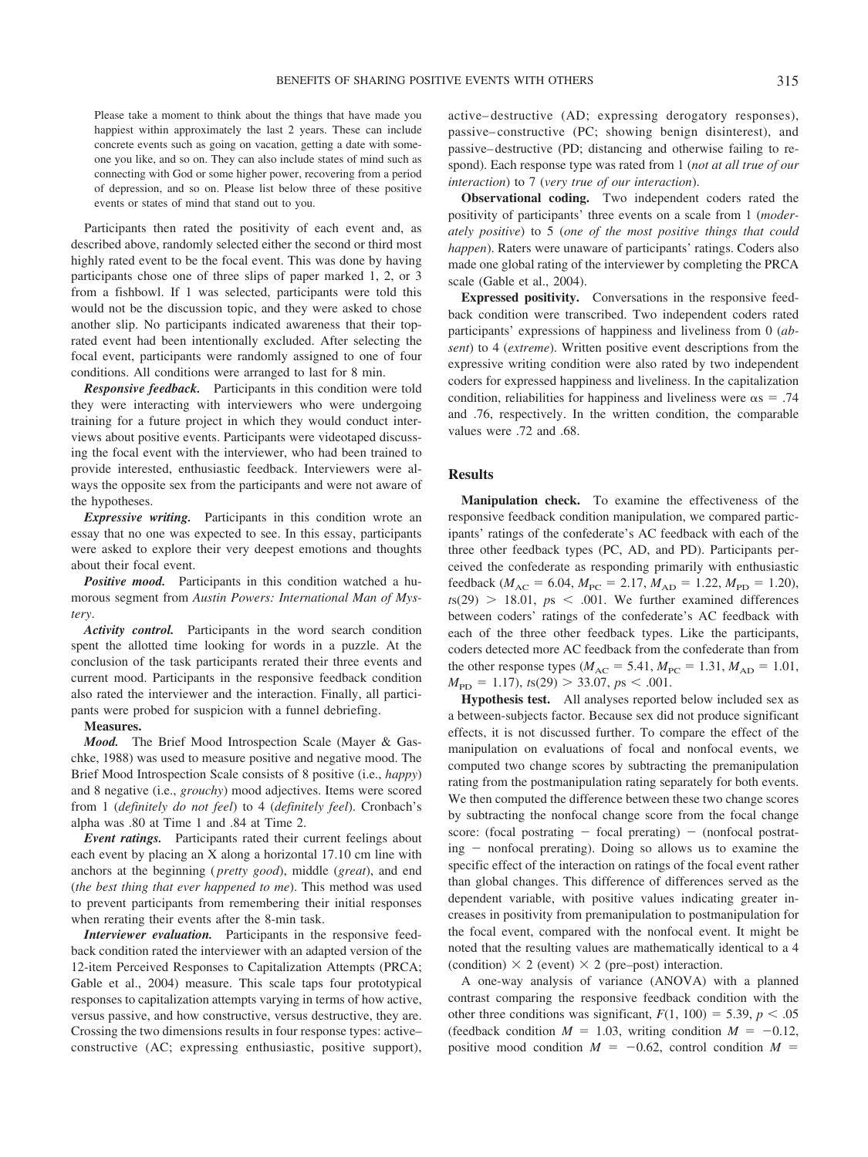Please take a moment to think about the things that have made you happiest within approximately the last 2 years. These can include concrete events such as going on vacation, getting a date with someone you like, and so on. They can also include states of mind such as connecting with God or some higher power, recovering from a period of depression, and so on. Please list below three of these positive events or states of mind that stand out to you.

Participants then rated the positivity of each event and, as described above, randomly selected either the second or third most highly rated event to be the focal event. This was done by having participants chose one of three slips of paper marked 1, 2, or 3 from a fishbowl. If 1 was selected, participants were told this would not be the discussion topic, and they were asked to chose another slip. No participants indicated awareness that their toprated event had been intentionally excluded. After selecting the focal event, participants were randomly assigned to one of four conditions. All conditions were arranged to last for 8 min.

*Responsive feedback.* Participants in this condition were told they were interacting with interviewers who were undergoing training for a future project in which they would conduct interviews about positive events. Participants were videotaped discussing the focal event with the interviewer, who had been trained to provide interested, enthusiastic feedback. Interviewers were always the opposite sex from the participants and were not aware of the hypotheses.

*Expressive writing.* Participants in this condition wrote an essay that no one was expected to see. In this essay, participants were asked to explore their very deepest emotions and thoughts about their focal event.

*Positive mood.* Participants in this condition watched a humorous segment from *Austin Powers: International Man of Mystery*.

*Activity control.* Participants in the word search condition spent the allotted time looking for words in a puzzle. At the conclusion of the task participants rerated their three events and current mood. Participants in the responsive feedback condition also rated the interviewer and the interaction. Finally, all participants were probed for suspicion with a funnel debriefing.

### **Measures.**

*Mood.* The Brief Mood Introspection Scale (Mayer & Gaschke, 1988) was used to measure positive and negative mood. The Brief Mood Introspection Scale consists of 8 positive (i.e., *happy*) and 8 negative (i.e., *grouchy*) mood adjectives. Items were scored from 1 (*definitely do not feel*) to 4 (*definitely feel*). Cronbach's alpha was .80 at Time 1 and .84 at Time 2.

*Event ratings.* Participants rated their current feelings about each event by placing an X along a horizontal 17.10 cm line with anchors at the beginning ( *pretty good*), middle (*great*), and end (*the best thing that ever happened to me*). This method was used to prevent participants from remembering their initial responses when rerating their events after the 8-min task.

*Interviewer evaluation.* Participants in the responsive feedback condition rated the interviewer with an adapted version of the 12-item Perceived Responses to Capitalization Attempts (PRCA; Gable et al., 2004) measure. This scale taps four prototypical responses to capitalization attempts varying in terms of how active, versus passive, and how constructive, versus destructive, they are. Crossing the two dimensions results in four response types: active– constructive (AC; expressing enthusiastic, positive support), active– destructive (AD; expressing derogatory responses), passive– constructive (PC; showing benign disinterest), and passive– destructive (PD; distancing and otherwise failing to respond). Each response type was rated from 1 (*not at all true of our interaction*) to 7 (*very true of our interaction*).

**Observational coding.** Two independent coders rated the positivity of participants' three events on a scale from 1 (*moderately positive*) to 5 (*one of the most positive things that could happen*). Raters were unaware of participants' ratings. Coders also made one global rating of the interviewer by completing the PRCA scale (Gable et al., 2004).

**Expressed positivity.** Conversations in the responsive feedback condition were transcribed. Two independent coders rated participants' expressions of happiness and liveliness from 0 (*absent*) to 4 (*extreme*). Written positive event descriptions from the expressive writing condition were also rated by two independent coders for expressed happiness and liveliness. In the capitalization condition, reliabilities for happiness and liveliness were  $\alpha s = .74$ and .76, respectively. In the written condition, the comparable values were .72 and .68.

### **Results**

**Manipulation check.** To examine the effectiveness of the responsive feedback condition manipulation, we compared participants' ratings of the confederate's AC feedback with each of the three other feedback types (PC, AD, and PD). Participants perceived the confederate as responding primarily with enthusiastic feedback ( $M_{AC} = 6.04$ ,  $M_{PC} = 2.17$ ,  $M_{AD} = 1.22$ ,  $M_{PD} = 1.20$ ),  $t s(29) > 18.01$ ,  $p s < .001$ . We further examined differences between coders' ratings of the confederate's AC feedback with each of the three other feedback types. Like the participants, coders detected more AC feedback from the confederate than from the other response types ( $M_{AC} = 5.41$ ,  $M_{PC} = 1.31$ ,  $M_{AD} = 1.01$ ,  $M_{\text{PD}} = 1.17$ ,  $t s(29) > 33.07$ ,  $p s < .001$ .

**Hypothesis test.** All analyses reported below included sex as a between-subjects factor. Because sex did not produce significant effects, it is not discussed further. To compare the effect of the manipulation on evaluations of focal and nonfocal events, we computed two change scores by subtracting the premanipulation rating from the postmanipulation rating separately for both events. We then computed the difference between these two change scores by subtracting the nonfocal change score from the focal change score: (focal postrating  $-$  focal prerating)  $-$  (nonfocal postrat $ing$  – nonfocal prerating). Doing so allows us to examine the specific effect of the interaction on ratings of the focal event rather than global changes. This difference of differences served as the dependent variable, with positive values indicating greater increases in positivity from premanipulation to postmanipulation for the focal event, compared with the nonfocal event. It might be noted that the resulting values are mathematically identical to a 4 (condition)  $\times$  2 (event)  $\times$  2 (pre–post) interaction.

A one-way analysis of variance (ANOVA) with a planned contrast comparing the responsive feedback condition with the other three conditions was significant,  $F(1, 100) = 5.39$ ,  $p < .05$ (feedback condition  $M = 1.03$ , writing condition  $M = -0.12$ , positive mood condition  $M = -0.62$ , control condition  $M =$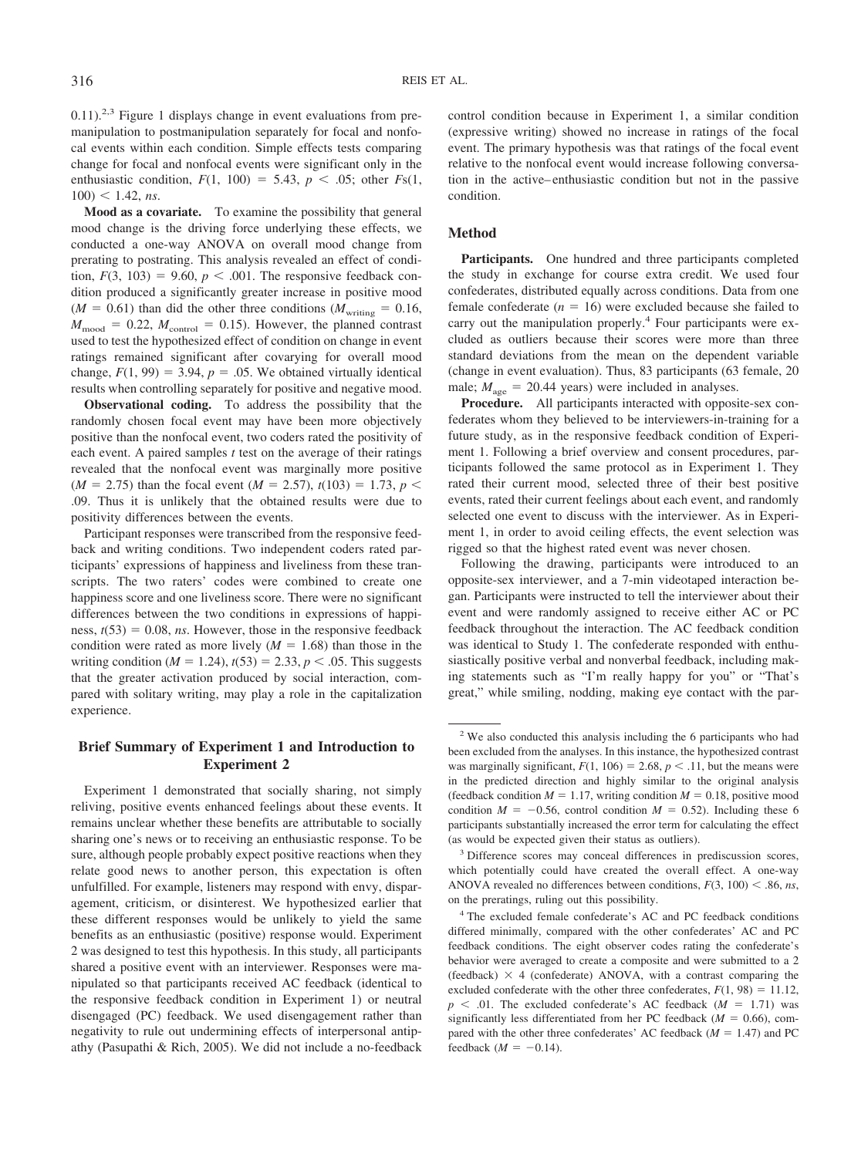$0.11$ ).<sup>2,3</sup> Figure 1 displays change in event evaluations from premanipulation to postmanipulation separately for focal and nonfocal events within each condition. Simple effects tests comparing change for focal and nonfocal events were significant only in the enthusiastic condition,  $F(1, 100) = 5.43$ ,  $p < .05$ ; other  $Fs(1, 100) = 5.43$  $100$ )  $<$  1.42, *ns*.

**Mood as a covariate.** To examine the possibility that general mood change is the driving force underlying these effects, we conducted a one-way ANOVA on overall mood change from prerating to postrating. This analysis revealed an effect of condition,  $F(3, 103) = 9.60$ ,  $p < .001$ . The responsive feedback condition produced a significantly greater increase in positive mood  $(M = 0.61)$  than did the other three conditions ( $M_{\text{writing}} = 0.16$ ,  $M_{\text{mod}} = 0.22$ ,  $M_{\text{control}} = 0.15$ ). However, the planned contrast used to test the hypothesized effect of condition on change in event ratings remained significant after covarying for overall mood change,  $F(1, 99) = 3.94$ ,  $p = .05$ . We obtained virtually identical results when controlling separately for positive and negative mood.

**Observational coding.** To address the possibility that the randomly chosen focal event may have been more objectively positive than the nonfocal event, two coders rated the positivity of each event. A paired samples *t* test on the average of their ratings revealed that the nonfocal event was marginally more positive  $(M = 2.75)$  than the focal event  $(M = 2.57)$ ,  $t(103) = 1.73$ ,  $p <$ .09. Thus it is unlikely that the obtained results were due to positivity differences between the events.

Participant responses were transcribed from the responsive feedback and writing conditions. Two independent coders rated participants' expressions of happiness and liveliness from these transcripts. The two raters' codes were combined to create one happiness score and one liveliness score. There were no significant differences between the two conditions in expressions of happiness,  $t(53) = 0.08$ , *ns*. However, those in the responsive feedback condition were rated as more lively  $(M = 1.68)$  than those in the writing condition ( $M = 1.24$ ),  $t(53) = 2.33$ ,  $p < .05$ . This suggests that the greater activation produced by social interaction, compared with solitary writing, may play a role in the capitalization experience.

# **Brief Summary of Experiment 1 and Introduction to Experiment 2**

Experiment 1 demonstrated that socially sharing, not simply reliving, positive events enhanced feelings about these events. It remains unclear whether these benefits are attributable to socially sharing one's news or to receiving an enthusiastic response. To be sure, although people probably expect positive reactions when they relate good news to another person, this expectation is often unfulfilled. For example, listeners may respond with envy, disparagement, criticism, or disinterest. We hypothesized earlier that these different responses would be unlikely to yield the same benefits as an enthusiastic (positive) response would. Experiment 2 was designed to test this hypothesis. In this study, all participants shared a positive event with an interviewer. Responses were manipulated so that participants received AC feedback (identical to the responsive feedback condition in Experiment 1) or neutral disengaged (PC) feedback. We used disengagement rather than negativity to rule out undermining effects of interpersonal antipathy (Pasupathi & Rich, 2005). We did not include a no-feedback control condition because in Experiment 1, a similar condition (expressive writing) showed no increase in ratings of the focal event. The primary hypothesis was that ratings of the focal event relative to the nonfocal event would increase following conversation in the active– enthusiastic condition but not in the passive condition.

# **Method**

**Participants.** One hundred and three participants completed the study in exchange for course extra credit. We used four confederates, distributed equally across conditions. Data from one female confederate  $(n = 16)$  were excluded because she failed to carry out the manipulation properly.<sup>4</sup> Four participants were excluded as outliers because their scores were more than three standard deviations from the mean on the dependent variable (change in event evaluation). Thus, 83 participants (63 female, 20 male;  $M_{\text{age}} = 20.44$  years) were included in analyses.

**Procedure.** All participants interacted with opposite-sex confederates whom they believed to be interviewers-in-training for a future study, as in the responsive feedback condition of Experiment 1. Following a brief overview and consent procedures, participants followed the same protocol as in Experiment 1. They rated their current mood, selected three of their best positive events, rated their current feelings about each event, and randomly selected one event to discuss with the interviewer. As in Experiment 1, in order to avoid ceiling effects, the event selection was rigged so that the highest rated event was never chosen.

Following the drawing, participants were introduced to an opposite-sex interviewer, and a 7-min videotaped interaction began. Participants were instructed to tell the interviewer about their event and were randomly assigned to receive either AC or PC feedback throughout the interaction. The AC feedback condition was identical to Study 1. The confederate responded with enthusiastically positive verbal and nonverbal feedback, including making statements such as "I'm really happy for you" or "That's great," while smiling, nodding, making eye contact with the par-

<sup>2</sup> We also conducted this analysis including the 6 participants who had been excluded from the analyses. In this instance, the hypothesized contrast was marginally significant,  $F(1, 106) = 2.68$ ,  $p < .11$ , but the means were in the predicted direction and highly similar to the original analysis (feedback condition  $M = 1.17$ , writing condition  $M = 0.18$ , positive mood condition  $M = -0.56$ , control condition  $M = 0.52$ ). Including these 6 participants substantially increased the error term for calculating the effect (as would be expected given their status as outliers).

<sup>&</sup>lt;sup>3</sup> Difference scores may conceal differences in prediscussion scores, which potentially could have created the overall effect. A one-way ANOVA revealed no differences between conditions,  $F(3, 100) < .86$ , ns, on the preratings, ruling out this possibility.

<sup>4</sup> The excluded female confederate's AC and PC feedback conditions differed minimally, compared with the other confederates' AC and PC feedback conditions. The eight observer codes rating the confederate's behavior were averaged to create a composite and were submitted to a 2 (feedback)  $\times$  4 (confederate) ANOVA, with a contrast comparing the excluded confederate with the other three confederates,  $F(1, 98) = 11.12$ ,  $p$  < .01. The excluded confederate's AC feedback ( $M = 1.71$ ) was significantly less differentiated from her PC feedback ( $M = 0.66$ ), compared with the other three confederates' AC feedback  $(M = 1.47)$  and PC feedback  $(M = -0.14)$ .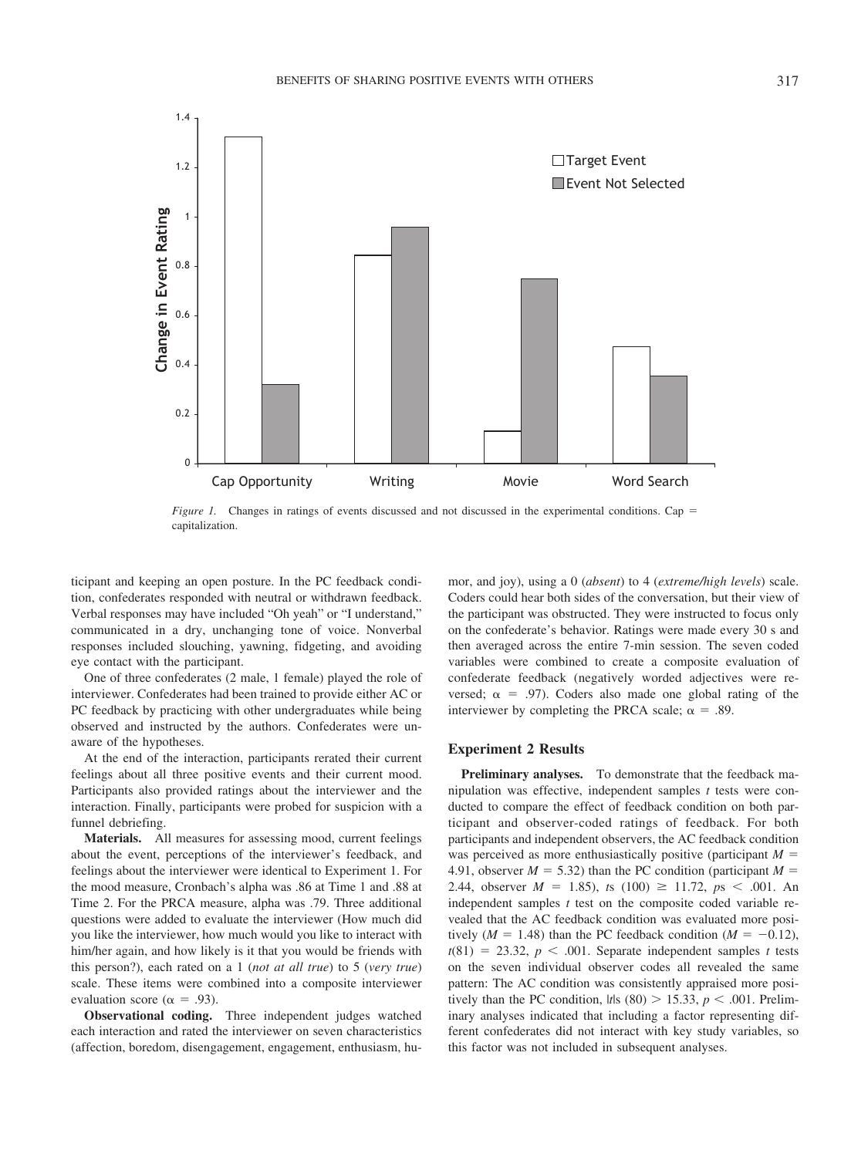

*Figure 1.* Changes in ratings of events discussed and not discussed in the experimental conditions. Cap = capitalization.

ticipant and keeping an open posture. In the PC feedback condition, confederates responded with neutral or withdrawn feedback. Verbal responses may have included "Oh yeah" or "I understand," communicated in a dry, unchanging tone of voice. Nonverbal responses included slouching, yawning, fidgeting, and avoiding eye contact with the participant.

One of three confederates (2 male, 1 female) played the role of interviewer. Confederates had been trained to provide either AC or PC feedback by practicing with other undergraduates while being observed and instructed by the authors. Confederates were unaware of the hypotheses.

At the end of the interaction, participants rerated their current feelings about all three positive events and their current mood. Participants also provided ratings about the interviewer and the interaction. Finally, participants were probed for suspicion with a funnel debriefing.

**Materials.** All measures for assessing mood, current feelings about the event, perceptions of the interviewer's feedback, and feelings about the interviewer were identical to Experiment 1. For the mood measure, Cronbach's alpha was .86 at Time 1 and .88 at Time 2. For the PRCA measure, alpha was .79. Three additional questions were added to evaluate the interviewer (How much did you like the interviewer, how much would you like to interact with him/her again, and how likely is it that you would be friends with this person?), each rated on a 1 (*not at all true*) to 5 (*very true*) scale. These items were combined into a composite interviewer evaluation score ( $\alpha = .93$ ).

**Observational coding.** Three independent judges watched each interaction and rated the interviewer on seven characteristics (affection, boredom, disengagement, engagement, enthusiasm, humor, and joy), using a 0 *(absent)* to 4 *(extreme/high levels)* scale. Coders could hear both sides of the conversation, but their view of the participant was obstructed. They were instructed to focus only on the confederate's behavior. Ratings were made every 30 s and then averaged across the entire 7-min session. The seven coded variables were combined to create a composite evaluation of confederate feedback (negatively worded adjectives were reversed;  $\alpha = .97$ ). Coders also made one global rating of the interviewer by completing the PRCA scale;  $\alpha = .89$ .

### **Experiment 2 Results**

**Preliminary analyses.** To demonstrate that the feedback manipulation was effective, independent samples *t* tests were conducted to compare the effect of feedback condition on both participant and observer-coded ratings of feedback. For both participants and independent observers, the AC feedback condition was perceived as more enthusiastically positive (participant *M* 4.91, observer  $M = 5.32$ ) than the PC condition (participant  $M =$ 2.44, observer  $M = 1.85$ , *t*s (100)  $\ge 11.72$ ,  $p_s < .001$ . An independent samples *t* test on the composite coded variable revealed that the AC feedback condition was evaluated more positively ( $M = 1.48$ ) than the PC feedback condition ( $M = -0.12$ ),  $t(81) = 23.32, p < .001$ . Separate independent samples *t* tests on the seven individual observer codes all revealed the same pattern: The AC condition was consistently appraised more positively than the PC condition,  $|t|s$  (80)  $> 15.33$ ,  $p < .001$ . Preliminary analyses indicated that including a factor representing different confederates did not interact with key study variables, so this factor was not included in subsequent analyses.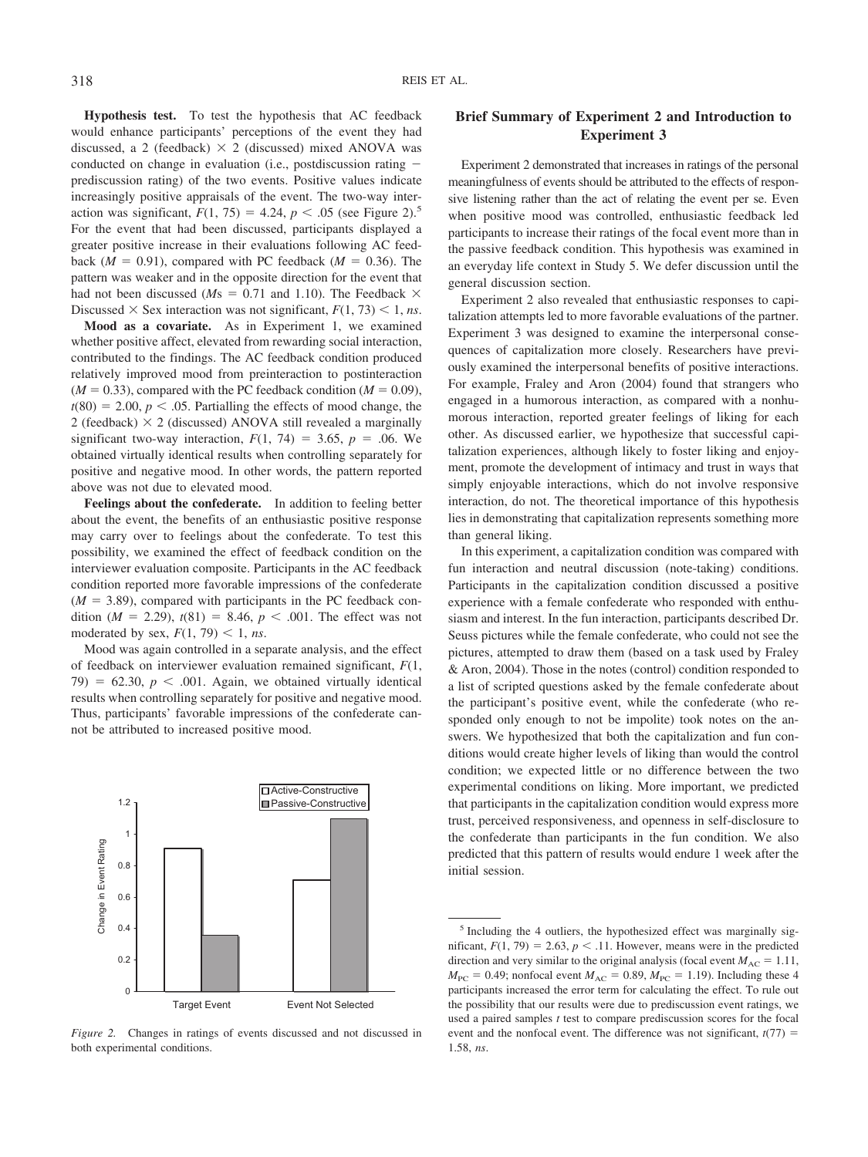**Hypothesis test.** To test the hypothesis that AC feedback would enhance participants' perceptions of the event they had discussed, a 2 (feedback)  $\times$  2 (discussed) mixed ANOVA was conducted on change in evaluation (i.e., postdiscussion rating prediscussion rating) of the two events. Positive values indicate increasingly positive appraisals of the event. The two-way interaction was significant,  $F(1, 75) = 4.24$ ,  $p < .05$  (see Figure 2).<sup>5</sup> For the event that had been discussed, participants displayed a greater positive increase in their evaluations following AC feedback ( $M = 0.91$ ), compared with PC feedback ( $M = 0.36$ ). The pattern was weaker and in the opposite direction for the event that had not been discussed ( $Ms = 0.71$  and 1.10). The Feedback  $\times$ Discussed  $\times$  Sex interaction was not significant,  $F(1, 73) \le 1$ , *ns*.

**Mood as a covariate.** As in Experiment 1, we examined whether positive affect, elevated from rewarding social interaction, contributed to the findings. The AC feedback condition produced relatively improved mood from preinteraction to postinteraction  $(M = 0.33)$ , compared with the PC feedback condition  $(M = 0.09)$ ,  $t(80) = 2.00, p < .05$ . Partialling the effects of mood change, the 2 (feedback)  $\times$  2 (discussed) ANOVA still revealed a marginally significant two-way interaction,  $F(1, 74) = 3.65$ ,  $p = .06$ . We obtained virtually identical results when controlling separately for positive and negative mood. In other words, the pattern reported above was not due to elevated mood.

**Feelings about the confederate.** In addition to feeling better about the event, the benefits of an enthusiastic positive response may carry over to feelings about the confederate. To test this possibility, we examined the effect of feedback condition on the interviewer evaluation composite. Participants in the AC feedback condition reported more favorable impressions of the confederate  $(M = 3.89)$ , compared with participants in the PC feedback condition ( $M = 2.29$ ),  $t(81) = 8.46$ ,  $p < .001$ . The effect was not moderated by sex,  $F(1, 79) < 1$ , *ns*.

Mood was again controlled in a separate analysis, and the effect of feedback on interviewer evaluation remained significant, *F*(1,  $79) = 62.30, p < .001$ . Again, we obtained virtually identical results when controlling separately for positive and negative mood. Thus, participants' favorable impressions of the confederate cannot be attributed to increased positive mood.



*Figure 2.* Changes in ratings of events discussed and not discussed in both experimental conditions.

### **Brief Summary of Experiment 2 and Introduction to Experiment 3**

Experiment 2 demonstrated that increases in ratings of the personal meaningfulness of events should be attributed to the effects of responsive listening rather than the act of relating the event per se. Even when positive mood was controlled, enthusiastic feedback led participants to increase their ratings of the focal event more than in the passive feedback condition. This hypothesis was examined in an everyday life context in Study 5. We defer discussion until the general discussion section.

Experiment 2 also revealed that enthusiastic responses to capitalization attempts led to more favorable evaluations of the partner. Experiment 3 was designed to examine the interpersonal consequences of capitalization more closely. Researchers have previously examined the interpersonal benefits of positive interactions. For example, Fraley and Aron (2004) found that strangers who engaged in a humorous interaction, as compared with a nonhumorous interaction, reported greater feelings of liking for each other. As discussed earlier, we hypothesize that successful capitalization experiences, although likely to foster liking and enjoyment, promote the development of intimacy and trust in ways that simply enjoyable interactions, which do not involve responsive interaction, do not. The theoretical importance of this hypothesis lies in demonstrating that capitalization represents something more than general liking.

In this experiment, a capitalization condition was compared with fun interaction and neutral discussion (note-taking) conditions. Participants in the capitalization condition discussed a positive experience with a female confederate who responded with enthusiasm and interest. In the fun interaction, participants described Dr. Seuss pictures while the female confederate, who could not see the pictures, attempted to draw them (based on a task used by Fraley & Aron, 2004). Those in the notes (control) condition responded to a list of scripted questions asked by the female confederate about the participant's positive event, while the confederate (who responded only enough to not be impolite) took notes on the answers. We hypothesized that both the capitalization and fun conditions would create higher levels of liking than would the control condition; we expected little or no difference between the two experimental conditions on liking. More important, we predicted that participants in the capitalization condition would express more trust, perceived responsiveness, and openness in self-disclosure to the confederate than participants in the fun condition. We also predicted that this pattern of results would endure 1 week after the initial session.

<sup>&</sup>lt;sup>5</sup> Including the 4 outliers, the hypothesized effect was marginally significant,  $F(1, 79) = 2.63$ ,  $p < .11$ . However, means were in the predicted direction and very similar to the original analysis (focal event  $M_{AC} = 1.11$ ,  $M_{\text{PC}} = 0.49$ ; nonfocal event  $M_{\text{AC}} = 0.89$ ,  $M_{\text{PC}} = 1.19$ ). Including these 4 participants increased the error term for calculating the effect. To rule out the possibility that our results were due to prediscussion event ratings, we used a paired samples *t* test to compare prediscussion scores for the focal event and the nonfocal event. The difference was not significant,  $t(77)$  = 1.58, *ns*.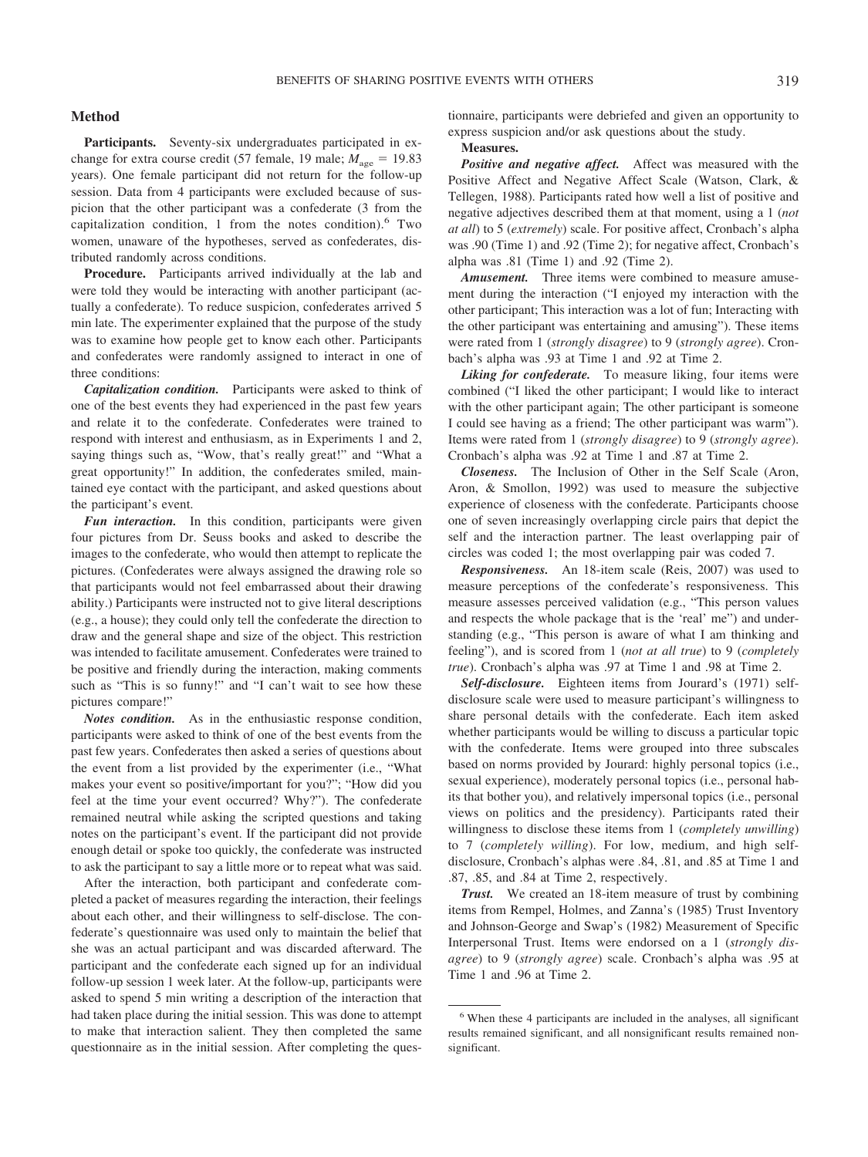### **Method**

Participants. Seventy-six undergraduates participated in exchange for extra course credit (57 female, 19 male;  $M_{\text{age}} = 19.83$ years). One female participant did not return for the follow-up session. Data from 4 participants were excluded because of suspicion that the other participant was a confederate (3 from the capitalization condition, 1 from the notes condition).<sup>6</sup> Two women, unaware of the hypotheses, served as confederates, distributed randomly across conditions.

**Procedure.** Participants arrived individually at the lab and were told they would be interacting with another participant (actually a confederate). To reduce suspicion, confederates arrived 5 min late. The experimenter explained that the purpose of the study was to examine how people get to know each other. Participants and confederates were randomly assigned to interact in one of three conditions:

*Capitalization condition.* Participants were asked to think of one of the best events they had experienced in the past few years and relate it to the confederate. Confederates were trained to respond with interest and enthusiasm, as in Experiments 1 and 2, saying things such as, "Wow, that's really great!" and "What a great opportunity!" In addition, the confederates smiled, maintained eye contact with the participant, and asked questions about the participant's event.

*Fun interaction.* In this condition, participants were given four pictures from Dr. Seuss books and asked to describe the images to the confederate, who would then attempt to replicate the pictures. (Confederates were always assigned the drawing role so that participants would not feel embarrassed about their drawing ability.) Participants were instructed not to give literal descriptions (e.g., a house); they could only tell the confederate the direction to draw and the general shape and size of the object. This restriction was intended to facilitate amusement. Confederates were trained to be positive and friendly during the interaction, making comments such as "This is so funny!" and "I can't wait to see how these pictures compare!"

*Notes condition.* As in the enthusiastic response condition, participants were asked to think of one of the best events from the past few years. Confederates then asked a series of questions about the event from a list provided by the experimenter (i.e., "What makes your event so positive/important for you?"; "How did you feel at the time your event occurred? Why?"). The confederate remained neutral while asking the scripted questions and taking notes on the participant's event. If the participant did not provide enough detail or spoke too quickly, the confederate was instructed to ask the participant to say a little more or to repeat what was said.

After the interaction, both participant and confederate completed a packet of measures regarding the interaction, their feelings about each other, and their willingness to self-disclose. The confederate's questionnaire was used only to maintain the belief that she was an actual participant and was discarded afterward. The participant and the confederate each signed up for an individual follow-up session 1 week later. At the follow-up, participants were asked to spend 5 min writing a description of the interaction that had taken place during the initial session. This was done to attempt to make that interaction salient. They then completed the same questionnaire as in the initial session. After completing the questionnaire, participants were debriefed and given an opportunity to express suspicion and/or ask questions about the study.

**Measures.**

*Positive and negative affect.* Affect was measured with the Positive Affect and Negative Affect Scale (Watson, Clark, & Tellegen, 1988). Participants rated how well a list of positive and negative adjectives described them at that moment, usinga1(*not at all*) to 5 (*extremely*) scale. For positive affect, Cronbach's alpha was .90 (Time 1) and .92 (Time 2); for negative affect, Cronbach's alpha was .81 (Time 1) and .92 (Time 2).

*Amusement.* Three items were combined to measure amusement during the interaction ("I enjoyed my interaction with the other participant; This interaction was a lot of fun; Interacting with the other participant was entertaining and amusing"). These items were rated from 1 (*strongly disagree*) to 9 (*strongly agree*). Cronbach's alpha was .93 at Time 1 and .92 at Time 2.

*Liking for confederate.* To measure liking, four items were combined ("I liked the other participant; I would like to interact with the other participant again; The other participant is someone I could see having as a friend; The other participant was warm"). Items were rated from 1 (*strongly disagree*) to 9 (*strongly agree*). Cronbach's alpha was .92 at Time 1 and .87 at Time 2.

*Closeness.* The Inclusion of Other in the Self Scale (Aron, Aron, & Smollon, 1992) was used to measure the subjective experience of closeness with the confederate. Participants choose one of seven increasingly overlapping circle pairs that depict the self and the interaction partner. The least overlapping pair of circles was coded 1; the most overlapping pair was coded 7.

*Responsiveness.* An 18-item scale (Reis, 2007) was used to measure perceptions of the confederate's responsiveness. This measure assesses perceived validation (e.g., "This person values and respects the whole package that is the 'real' me") and understanding (e.g., "This person is aware of what I am thinking and feeling"), and is scored from 1 (*not at all true*) to 9 (*completely true*). Cronbach's alpha was .97 at Time 1 and .98 at Time 2.

*Self-disclosure.* Eighteen items from Jourard's (1971) selfdisclosure scale were used to measure participant's willingness to share personal details with the confederate. Each item asked whether participants would be willing to discuss a particular topic with the confederate. Items were grouped into three subscales based on norms provided by Jourard: highly personal topics (i.e., sexual experience), moderately personal topics (i.e., personal habits that bother you), and relatively impersonal topics (i.e., personal views on politics and the presidency). Participants rated their willingness to disclose these items from 1 (*completely unwilling*) to 7 (*completely willing*). For low, medium, and high selfdisclosure, Cronbach's alphas were .84, .81, and .85 at Time 1 and .87, .85, and .84 at Time 2, respectively.

*Trust.* We created an 18-item measure of trust by combining items from Rempel, Holmes, and Zanna's (1985) Trust Inventory and Johnson-George and Swap's (1982) Measurement of Specific Interpersonal Trust. Items were endorsed on a 1 (*strongly disagree*) to 9 (*strongly agree*) scale. Cronbach's alpha was .95 at Time 1 and .96 at Time 2.

<sup>6</sup> When these 4 participants are included in the analyses, all significant results remained significant, and all nonsignificant results remained nonsignificant.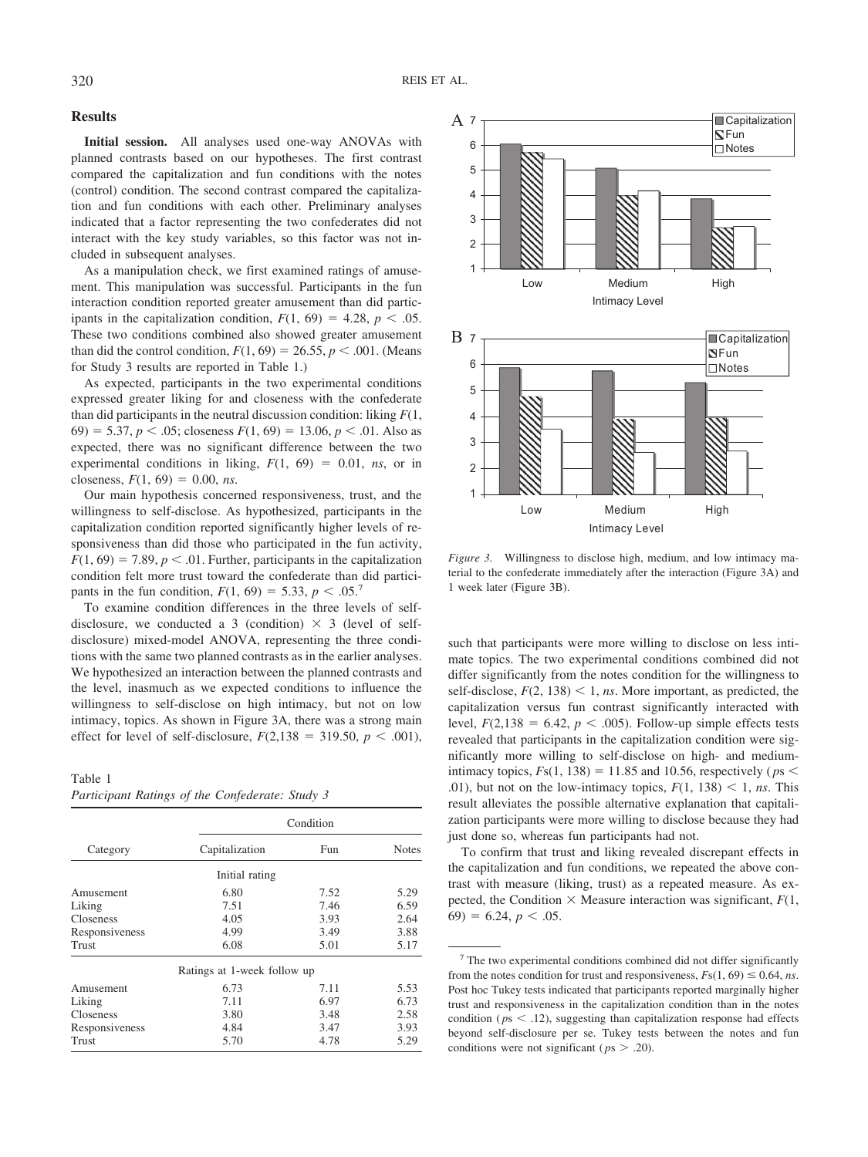### **Results**

**Initial session.** All analyses used one-way ANOVAs with planned contrasts based on our hypotheses. The first contrast compared the capitalization and fun conditions with the notes (control) condition. The second contrast compared the capitalization and fun conditions with each other. Preliminary analyses indicated that a factor representing the two confederates did not interact with the key study variables, so this factor was not included in subsequent analyses.

As a manipulation check, we first examined ratings of amusement. This manipulation was successful. Participants in the fun interaction condition reported greater amusement than did participants in the capitalization condition,  $F(1, 69) = 4.28$ ,  $p < .05$ . These two conditions combined also showed greater amusement than did the control condition,  $F(1, 69) = 26.55$ ,  $p < .001$ . (Means for Study 3 results are reported in Table 1.)

As expected, participants in the two experimental conditions expressed greater liking for and closeness with the confederate than did participants in the neutral discussion condition: liking *F*(1, 69) = 5.37,  $p < .05$ ; closeness  $F(1, 69) = 13.06$ ,  $p < .01$ . Also as expected, there was no significant difference between the two experimental conditions in liking,  $F(1, 69) = 0.01$ , *ns*, or in closeness,  $F(1, 69) = 0.00$ , *ns*.

Our main hypothesis concerned responsiveness, trust, and the willingness to self-disclose. As hypothesized, participants in the capitalization condition reported significantly higher levels of responsiveness than did those who participated in the fun activity,  $F(1, 69) = 7.89$ ,  $p < .01$ . Further, participants in the capitalization condition felt more trust toward the confederate than did participants in the fun condition,  $F(1, 69) = 5.33, p < .05.<sup>7</sup>$ 

To examine condition differences in the three levels of selfdisclosure, we conducted a 3 (condition)  $\times$  3 (level of selfdisclosure) mixed-model ANOVA, representing the three conditions with the same two planned contrasts as in the earlier analyses. We hypothesized an interaction between the planned contrasts and the level, inasmuch as we expected conditions to influence the willingness to self-disclose on high intimacy, but not on low intimacy, topics. As shown in Figure 3A, there was a strong main effect for level of self-disclosure,  $F(2,138 = 319.50, p < .001)$ ,

# Table 1

|  | Participant Ratings of the Confederate: Study 3 |  |
|--|-------------------------------------------------|--|
|  |                                                 |  |

|                | Condition                   |      |              |  |
|----------------|-----------------------------|------|--------------|--|
| Category       | Capitalization              | Fun  | <b>Notes</b> |  |
|                | Initial rating              |      |              |  |
| Amusement      | 6.80                        | 7.52 | 5.29         |  |
| Liking         | 7.51                        | 7.46 | 6.59         |  |
| Closeness      | 4.05                        | 3.93 | 2.64         |  |
| Responsiveness | 4.99                        | 3.49 | 3.88         |  |
| Trust          | 6.08                        | 5.01 | 5.17         |  |
|                | Ratings at 1-week follow up |      |              |  |
| Amusement      | 6.73                        | 7.11 | 5.53         |  |
| Liking         | 7.11                        | 6.97 | 6.73         |  |
| Closeness      | 3.80                        | 3.48 | 2.58         |  |
| Responsiveness | 4.84                        | 3.47 | 3.93         |  |
| Trust          | 5.70<br>4.78                |      | 5.29         |  |



*Figure 3.* Willingness to disclose high, medium, and low intimacy material to the confederate immediately after the interaction (Figure 3A) and 1 week later (Figure 3B).

such that participants were more willing to disclose on less intimate topics. The two experimental conditions combined did not differ significantly from the notes condition for the willingness to self-disclose,  $F(2, 138) \le 1$ , *ns*. More important, as predicted, the capitalization versus fun contrast significantly interacted with level,  $F(2,138 = 6.42, p < .005)$ . Follow-up simple effects tests revealed that participants in the capitalization condition were significantly more willing to self-disclose on high- and mediumintimacy topics,  $Fs(1, 138) = 11.85$  and 10.56, respectively ( $p_s$  < .01), but not on the low-intimacy topics,  $F(1, 138) < 1$ , *ns*. This result alleviates the possible alternative explanation that capitalization participants were more willing to disclose because they had just done so, whereas fun participants had not.

To confirm that trust and liking revealed discrepant effects in the capitalization and fun conditions, we repeated the above contrast with measure (liking, trust) as a repeated measure. As expected, the Condition  $\times$  Measure interaction was significant,  $F(1, \cdot)$ 69) = 6.24,  $p < .05$ .

<sup>7</sup> The two experimental conditions combined did not differ significantly from the notes condition for trust and responsiveness,  $F_s(1, 69) \le 0.64$ , *ns*. Post hoc Tukey tests indicated that participants reported marginally higher trust and responsiveness in the capitalization condition than in the notes condition ( $p_s < .12$ ), suggesting than capitalization response had effects beyond self-disclosure per se. Tukey tests between the notes and fun conditions were not significant ( $ps > .20$ ).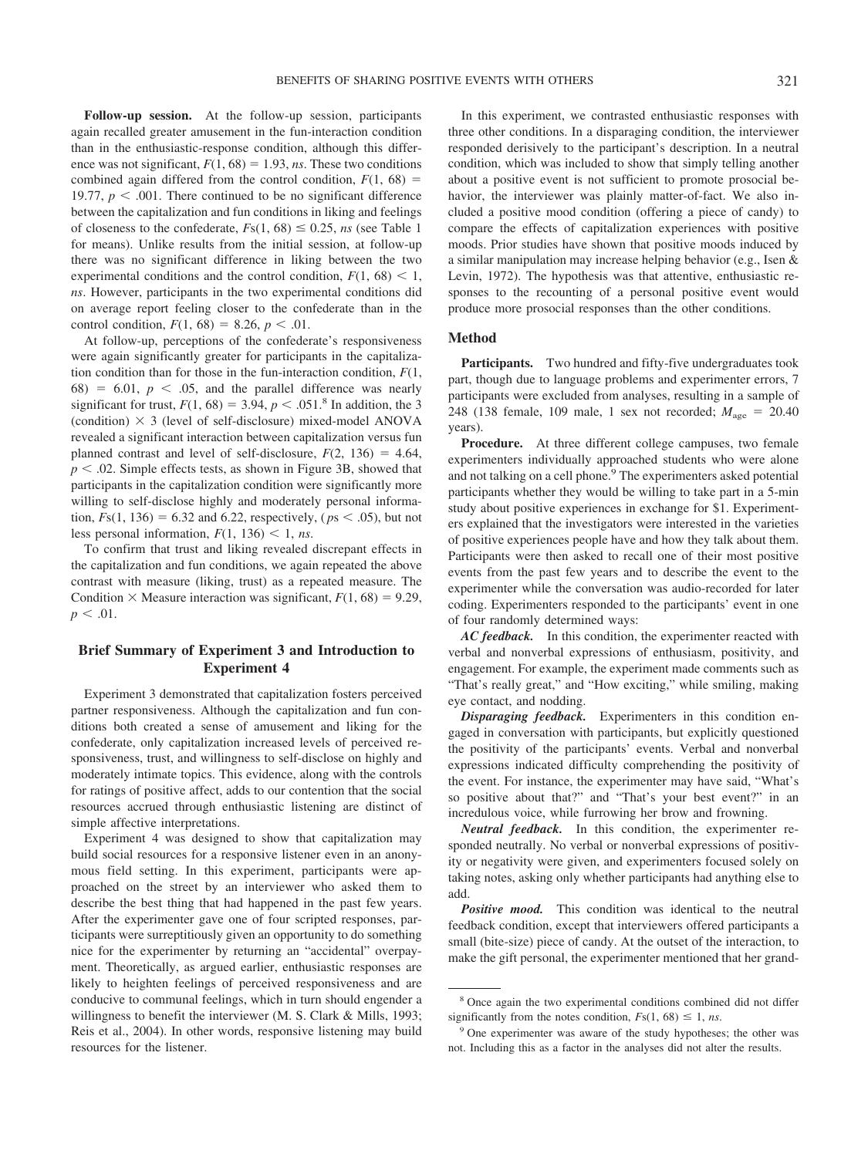**Follow-up session.** At the follow-up session, participants again recalled greater amusement in the fun-interaction condition than in the enthusiastic-response condition, although this difference was not significant,  $F(1, 68) = 1.93$ , *ns*. These two conditions combined again differed from the control condition,  $F(1, 68) =$ 19.77,  $p < .001$ . There continued to be no significant difference between the capitalization and fun conditions in liking and feelings of closeness to the confederate,  $Fs(1, 68) \le 0.25$ , *ns* (see Table 1) for means). Unlike results from the initial session, at follow-up there was no significant difference in liking between the two experimental conditions and the control condition,  $F(1, 68) < 1$ , *ns*. However, participants in the two experimental conditions did on average report feeling closer to the confederate than in the control condition,  $F(1, 68) = 8.26$ ,  $p < .01$ .

At follow-up, perceptions of the confederate's responsiveness were again significantly greater for participants in the capitalization condition than for those in the fun-interaction condition, *F*(1,  $68$ ) =  $6.01$ ,  $p$  < .05, and the parallel difference was nearly significant for trust,  $F(1, 68) = 3.94$ ,  $p < .051$ .<sup>8</sup> In addition, the 3 (condition)  $\times$  3 (level of self-disclosure) mixed-model ANOVA revealed a significant interaction between capitalization versus fun planned contrast and level of self-disclosure,  $F(2, 136) = 4.64$ ,  $p < .02$ . Simple effects tests, as shown in Figure 3B, showed that participants in the capitalization condition were significantly more willing to self-disclose highly and moderately personal information,  $Fs(1, 136) = 6.32$  and 6.22, respectively, ( $p_s < .05$ ), but not less personal information,  $F(1, 136) < 1$ , *ns*.

To confirm that trust and liking revealed discrepant effects in the capitalization and fun conditions, we again repeated the above contrast with measure (liking, trust) as a repeated measure. The Condition  $\times$  Measure interaction was significant,  $F(1, 68) = 9.29$ ,  $p < .01$ .

# **Brief Summary of Experiment 3 and Introduction to Experiment 4**

Experiment 3 demonstrated that capitalization fosters perceived partner responsiveness. Although the capitalization and fun conditions both created a sense of amusement and liking for the confederate, only capitalization increased levels of perceived responsiveness, trust, and willingness to self-disclose on highly and moderately intimate topics. This evidence, along with the controls for ratings of positive affect, adds to our contention that the social resources accrued through enthusiastic listening are distinct of simple affective interpretations.

Experiment 4 was designed to show that capitalization may build social resources for a responsive listener even in an anonymous field setting. In this experiment, participants were approached on the street by an interviewer who asked them to describe the best thing that had happened in the past few years. After the experimenter gave one of four scripted responses, participants were surreptitiously given an opportunity to do something nice for the experimenter by returning an "accidental" overpayment. Theoretically, as argued earlier, enthusiastic responses are likely to heighten feelings of perceived responsiveness and are conducive to communal feelings, which in turn should engender a willingness to benefit the interviewer (M. S. Clark & Mills, 1993; Reis et al., 2004). In other words, responsive listening may build resources for the listener.

In this experiment, we contrasted enthusiastic responses with three other conditions. In a disparaging condition, the interviewer responded derisively to the participant's description. In a neutral condition, which was included to show that simply telling another about a positive event is not sufficient to promote prosocial behavior, the interviewer was plainly matter-of-fact. We also included a positive mood condition (offering a piece of candy) to compare the effects of capitalization experiences with positive moods. Prior studies have shown that positive moods induced by a similar manipulation may increase helping behavior (e.g., Isen & Levin, 1972). The hypothesis was that attentive, enthusiastic responses to the recounting of a personal positive event would produce more prosocial responses than the other conditions.

#### **Method**

Participants. Two hundred and fifty-five undergraduates took part, though due to language problems and experimenter errors, 7 participants were excluded from analyses, resulting in a sample of 248 (138 female, 109 male, 1 sex not recorded;  $M_{\text{age}} = 20.40$ years).

**Procedure.** At three different college campuses, two female experimenters individually approached students who were alone and not talking on a cell phone.<sup>9</sup> The experimenters asked potential participants whether they would be willing to take part in a 5-min study about positive experiences in exchange for \$1. Experimenters explained that the investigators were interested in the varieties of positive experiences people have and how they talk about them. Participants were then asked to recall one of their most positive events from the past few years and to describe the event to the experimenter while the conversation was audio-recorded for later coding. Experimenters responded to the participants' event in one of four randomly determined ways:

*AC feedback.* In this condition, the experimenter reacted with verbal and nonverbal expressions of enthusiasm, positivity, and engagement. For example, the experiment made comments such as "That's really great," and "How exciting," while smiling, making eye contact, and nodding.

*Disparaging feedback.* Experimenters in this condition engaged in conversation with participants, but explicitly questioned the positivity of the participants' events. Verbal and nonverbal expressions indicated difficulty comprehending the positivity of the event. For instance, the experimenter may have said, "What's so positive about that?" and "That's your best event?" in an incredulous voice, while furrowing her brow and frowning.

*Neutral feedback.* In this condition, the experimenter responded neutrally. No verbal or nonverbal expressions of positivity or negativity were given, and experimenters focused solely on taking notes, asking only whether participants had anything else to add.

*Positive mood.* This condition was identical to the neutral feedback condition, except that interviewers offered participants a small (bite-size) piece of candy. At the outset of the interaction, to make the gift personal, the experimenter mentioned that her grand-

<sup>8</sup> Once again the two experimental conditions combined did not differ significantly from the notes condition,  $Fs(1, 68) \le 1$ , *ns*.

<sup>9</sup> One experimenter was aware of the study hypotheses; the other was not. Including this as a factor in the analyses did not alter the results.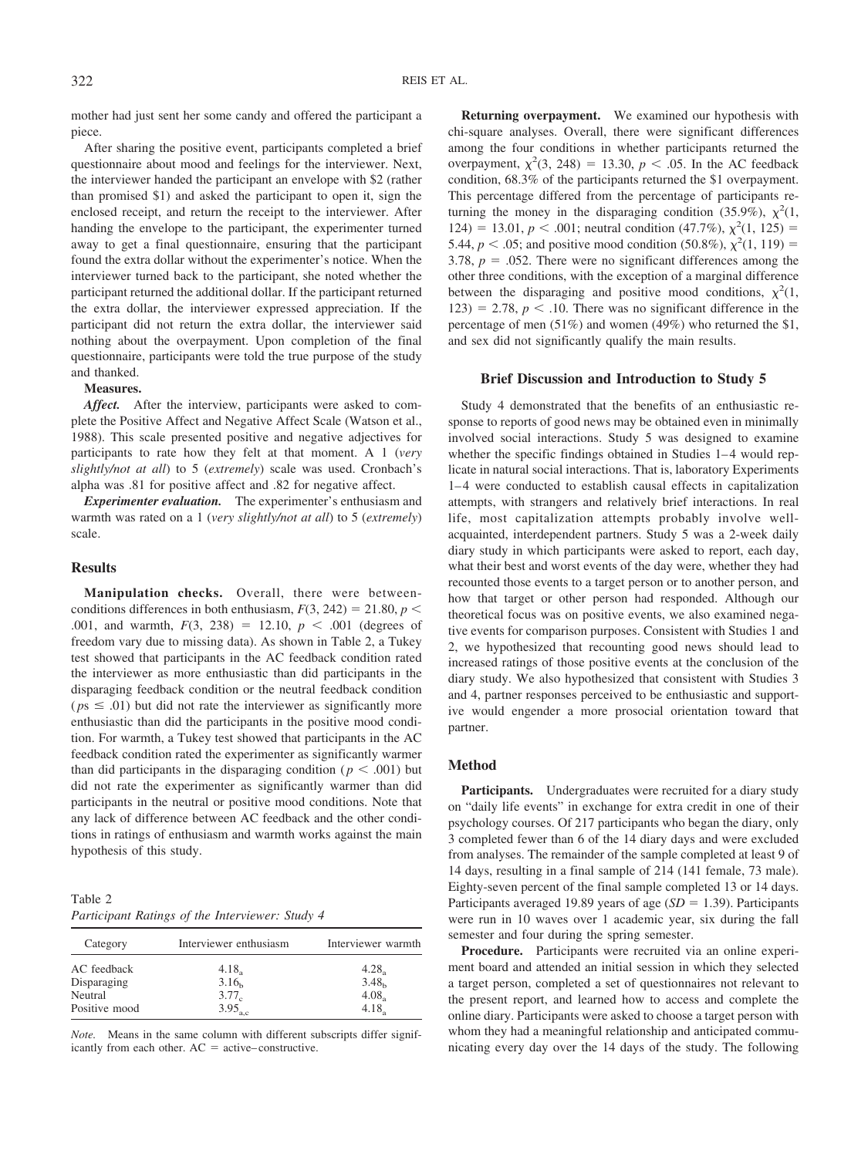mother had just sent her some candy and offered the participant a piece.

After sharing the positive event, participants completed a brief questionnaire about mood and feelings for the interviewer. Next, the interviewer handed the participant an envelope with \$2 (rather than promised \$1) and asked the participant to open it, sign the enclosed receipt, and return the receipt to the interviewer. After handing the envelope to the participant, the experimenter turned away to get a final questionnaire, ensuring that the participant found the extra dollar without the experimenter's notice. When the interviewer turned back to the participant, she noted whether the participant returned the additional dollar. If the participant returned the extra dollar, the interviewer expressed appreciation. If the participant did not return the extra dollar, the interviewer said nothing about the overpayment. Upon completion of the final questionnaire, participants were told the true purpose of the study and thanked.

#### **Measures.**

Affect. After the interview, participants were asked to complete the Positive Affect and Negative Affect Scale (Watson et al., 1988). This scale presented positive and negative adjectives for participants to rate how they felt at that moment.A1(*very slightly/not at all*) to 5 (*extremely*) scale was used. Cronbach's alpha was .81 for positive affect and .82 for negative affect.

*Experimenter evaluation.* The experimenter's enthusiasm and warmth was rated on a 1 (*very slightly/not at all*) to 5 (*extremely*) scale.

### **Results**

**Manipulation checks.** Overall, there were betweenconditions differences in both enthusiasm,  $F(3, 242) = 21.80$ ,  $p \le$ .001, and warmth,  $F(3, 238) = 12.10, p < .001$  (degrees of freedom vary due to missing data). As shown in Table 2, a Tukey test showed that participants in the AC feedback condition rated the interviewer as more enthusiastic than did participants in the disparaging feedback condition or the neutral feedback condition  $(ps \leq .01)$  but did not rate the interviewer as significantly more enthusiastic than did the participants in the positive mood condition. For warmth, a Tukey test showed that participants in the AC feedback condition rated the experimenter as significantly warmer than did participants in the disparaging condition ( $p < .001$ ) but did not rate the experimenter as significantly warmer than did participants in the neutral or positive mood conditions. Note that any lack of difference between AC feedback and the other conditions in ratings of enthusiasm and warmth works against the main hypothesis of this study.

Table 2 *Participant Ratings of the Interviewer: Study 4*

| Category      | Interviewer enthusiasm | Interviewer warmth |
|---------------|------------------------|--------------------|
| AC feedback   | 4.18                   | 4.28               |
| Disparaging   | 3.16 <sub>b</sub>      | 3.48 <sub>h</sub>  |
| Neutral       | $3.77_c$               | 4.08               |
| Positive mood | $3.95_{a,c}$           | 4.18 <sub>z</sub>  |

*Note.* Means in the same column with different subscripts differ significantly from each other.  $AC = active-constructive$ .

**Returning overpayment.** We examined our hypothesis with chi-square analyses. Overall, there were significant differences among the four conditions in whether participants returned the overpayment,  $\chi^2(3, 248) = 13.30, p < .05$ . In the AC feedback condition, 68.3% of the participants returned the \$1 overpayment. This percentage differed from the percentage of participants returning the money in the disparaging condition (35.9%),  $\chi^2(1, 1)$ 124) = 13.01,  $p < .001$ ; neutral condition (47.7%),  $\chi^2(1, 125)$  = 5.44,  $p < .05$ ; and positive mood condition (50.8%),  $\chi^2(1, 119)$  = 3.78,  $p = .052$ . There were no significant differences among the other three conditions, with the exception of a marginal difference between the disparaging and positive mood conditions,  $\chi^2(1)$ ,  $123$ ) = 2.78,  $p < 0.10$ . There was no significant difference in the percentage of men (51%) and women (49%) who returned the \$1, and sex did not significantly qualify the main results.

### **Brief Discussion and Introduction to Study 5**

Study 4 demonstrated that the benefits of an enthusiastic response to reports of good news may be obtained even in minimally involved social interactions. Study 5 was designed to examine whether the specific findings obtained in Studies 1–4 would replicate in natural social interactions. That is, laboratory Experiments 1– 4 were conducted to establish causal effects in capitalization attempts, with strangers and relatively brief interactions. In real life, most capitalization attempts probably involve wellacquainted, interdependent partners. Study 5 was a 2-week daily diary study in which participants were asked to report, each day, what their best and worst events of the day were, whether they had recounted those events to a target person or to another person, and how that target or other person had responded. Although our theoretical focus was on positive events, we also examined negative events for comparison purposes. Consistent with Studies 1 and 2, we hypothesized that recounting good news should lead to increased ratings of those positive events at the conclusion of the diary study. We also hypothesized that consistent with Studies 3 and 4, partner responses perceived to be enthusiastic and supportive would engender a more prosocial orientation toward that partner.

### **Method**

**Participants.** Undergraduates were recruited for a diary study on "daily life events" in exchange for extra credit in one of their psychology courses. Of 217 participants who began the diary, only 3 completed fewer than 6 of the 14 diary days and were excluded from analyses. The remainder of the sample completed at least 9 of 14 days, resulting in a final sample of 214 (141 female, 73 male). Eighty-seven percent of the final sample completed 13 or 14 days. Participants averaged 19.89 years of age  $(SD = 1.39)$ . Participants were run in 10 waves over 1 academic year, six during the fall semester and four during the spring semester.

**Procedure.** Participants were recruited via an online experiment board and attended an initial session in which they selected a target person, completed a set of questionnaires not relevant to the present report, and learned how to access and complete the online diary. Participants were asked to choose a target person with whom they had a meaningful relationship and anticipated communicating every day over the 14 days of the study. The following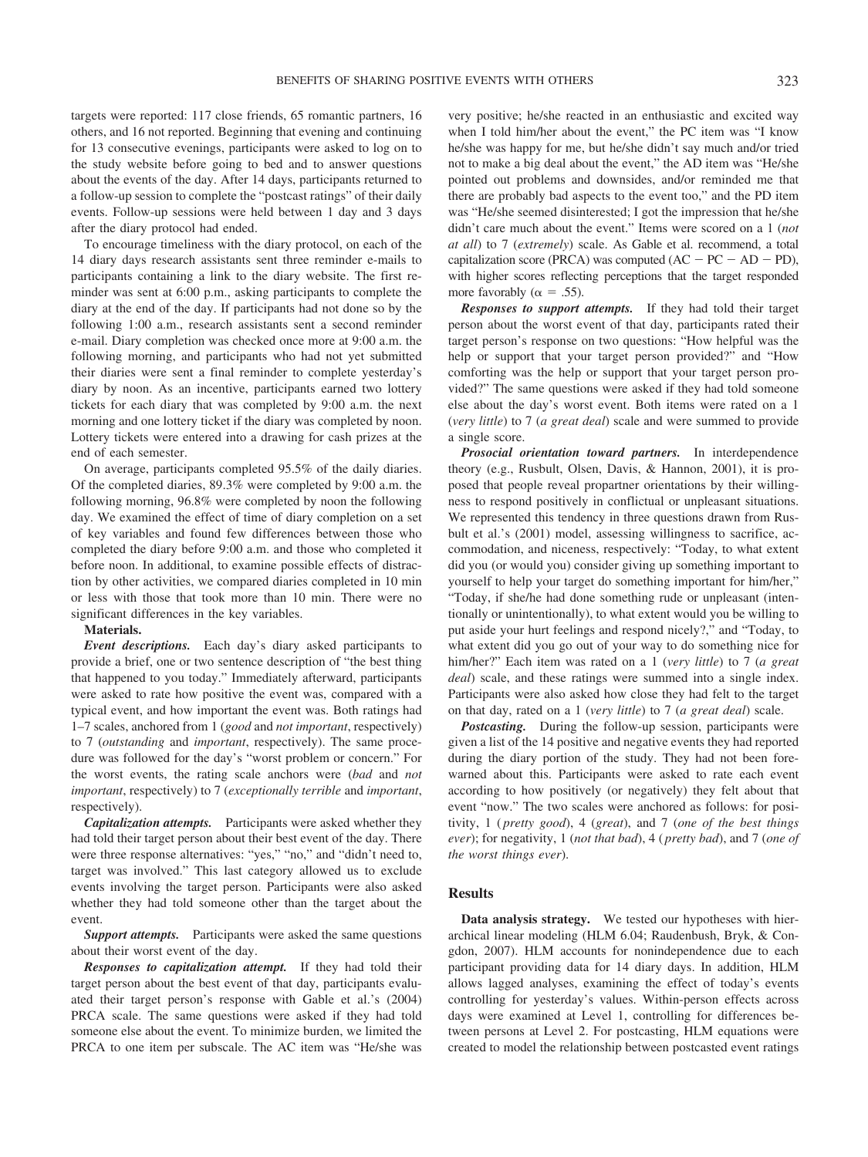targets were reported: 117 close friends, 65 romantic partners, 16 others, and 16 not reported. Beginning that evening and continuing for 13 consecutive evenings, participants were asked to log on to the study website before going to bed and to answer questions about the events of the day. After 14 days, participants returned to a follow-up session to complete the "postcast ratings" of their daily events. Follow-up sessions were held between 1 day and 3 days after the diary protocol had ended.

To encourage timeliness with the diary protocol, on each of the 14 diary days research assistants sent three reminder e-mails to participants containing a link to the diary website. The first reminder was sent at 6:00 p.m., asking participants to complete the diary at the end of the day. If participants had not done so by the following 1:00 a.m., research assistants sent a second reminder e-mail. Diary completion was checked once more at 9:00 a.m. the following morning, and participants who had not yet submitted their diaries were sent a final reminder to complete yesterday's diary by noon. As an incentive, participants earned two lottery tickets for each diary that was completed by 9:00 a.m. the next morning and one lottery ticket if the diary was completed by noon. Lottery tickets were entered into a drawing for cash prizes at the end of each semester.

On average, participants completed 95.5% of the daily diaries. Of the completed diaries, 89.3% were completed by 9:00 a.m. the following morning, 96.8% were completed by noon the following day. We examined the effect of time of diary completion on a set of key variables and found few differences between those who completed the diary before 9:00 a.m. and those who completed it before noon. In additional, to examine possible effects of distraction by other activities, we compared diaries completed in 10 min or less with those that took more than 10 min. There were no significant differences in the key variables.

#### **Materials.**

*Event descriptions.* Each day's diary asked participants to provide a brief, one or two sentence description of "the best thing that happened to you today." Immediately afterward, participants were asked to rate how positive the event was, compared with a typical event, and how important the event was. Both ratings had 1–7 scales, anchored from 1 (*good* and *not important*, respectively) to 7 (*outstanding* and *important*, respectively). The same procedure was followed for the day's "worst problem or concern." For the worst events, the rating scale anchors were (*bad* and *not important*, respectively) to 7 (*exceptionally terrible* and *important*, respectively).

*Capitalization attempts.* Participants were asked whether they had told their target person about their best event of the day. There were three response alternatives: "yes," "no," and "didn't need to, target was involved." This last category allowed us to exclude events involving the target person. Participants were also asked whether they had told someone other than the target about the event.

*Support attempts.* Participants were asked the same questions about their worst event of the day.

*Responses to capitalization attempt.* If they had told their target person about the best event of that day, participants evaluated their target person's response with Gable et al.'s (2004) PRCA scale. The same questions were asked if they had told someone else about the event. To minimize burden, we limited the PRCA to one item per subscale. The AC item was "He/she was very positive; he/she reacted in an enthusiastic and excited way when I told him/her about the event," the PC item was "I know he/she was happy for me, but he/she didn't say much and/or tried not to make a big deal about the event," the AD item was "He/she pointed out problems and downsides, and/or reminded me that there are probably bad aspects to the event too," and the PD item was "He/she seemed disinterested; I got the impression that he/she didn't care much about the event." Items were scored ona1(*not at all*) to 7 (*extremely*) scale. As Gable et al. recommend, a total capitalization score (PRCA) was computed  $(AC - PC - AD - PD)$ , with higher scores reflecting perceptions that the target responded more favorably ( $\alpha = .55$ ).

*Responses to support attempts.* If they had told their target person about the worst event of that day, participants rated their target person's response on two questions: "How helpful was the help or support that your target person provided?" and "How comforting was the help or support that your target person provided?" The same questions were asked if they had told someone else about the day's worst event. Both items were rated on a 1 (*very little*) to 7 (*a great deal*) scale and were summed to provide a single score.

*Prosocial orientation toward partners.* In interdependence theory (e.g., Rusbult, Olsen, Davis, & Hannon, 2001), it is proposed that people reveal propartner orientations by their willingness to respond positively in conflictual or unpleasant situations. We represented this tendency in three questions drawn from Rusbult et al.'s (2001) model, assessing willingness to sacrifice, accommodation, and niceness, respectively: "Today, to what extent did you (or would you) consider giving up something important to yourself to help your target do something important for him/her," "Today, if she/he had done something rude or unpleasant (intentionally or unintentionally), to what extent would you be willing to put aside your hurt feelings and respond nicely?," and "Today, to what extent did you go out of your way to do something nice for him/her?" Each item was rated on a 1 (*very little*) to 7 (*a great deal*) scale, and these ratings were summed into a single index. Participants were also asked how close they had felt to the target on that day, rated ona1(*very little*) to 7 (*a great deal*) scale.

*Postcasting.* During the follow-up session, participants were given a list of the 14 positive and negative events they had reported during the diary portion of the study. They had not been forewarned about this. Participants were asked to rate each event according to how positively (or negatively) they felt about that event "now." The two scales were anchored as follows: for positivity, 1 ( *pretty good*), 4 (*great*), and 7 (*one of the best things ever*); for negativity, 1 (*not that bad*), 4 ( *pretty bad*), and 7 (*one of the worst things ever*).

### **Results**

**Data analysis strategy.** We tested our hypotheses with hierarchical linear modeling (HLM 6.04; Raudenbush, Bryk, & Congdon, 2007). HLM accounts for nonindependence due to each participant providing data for 14 diary days. In addition, HLM allows lagged analyses, examining the effect of today's events controlling for yesterday's values. Within-person effects across days were examined at Level 1, controlling for differences between persons at Level 2. For postcasting, HLM equations were created to model the relationship between postcasted event ratings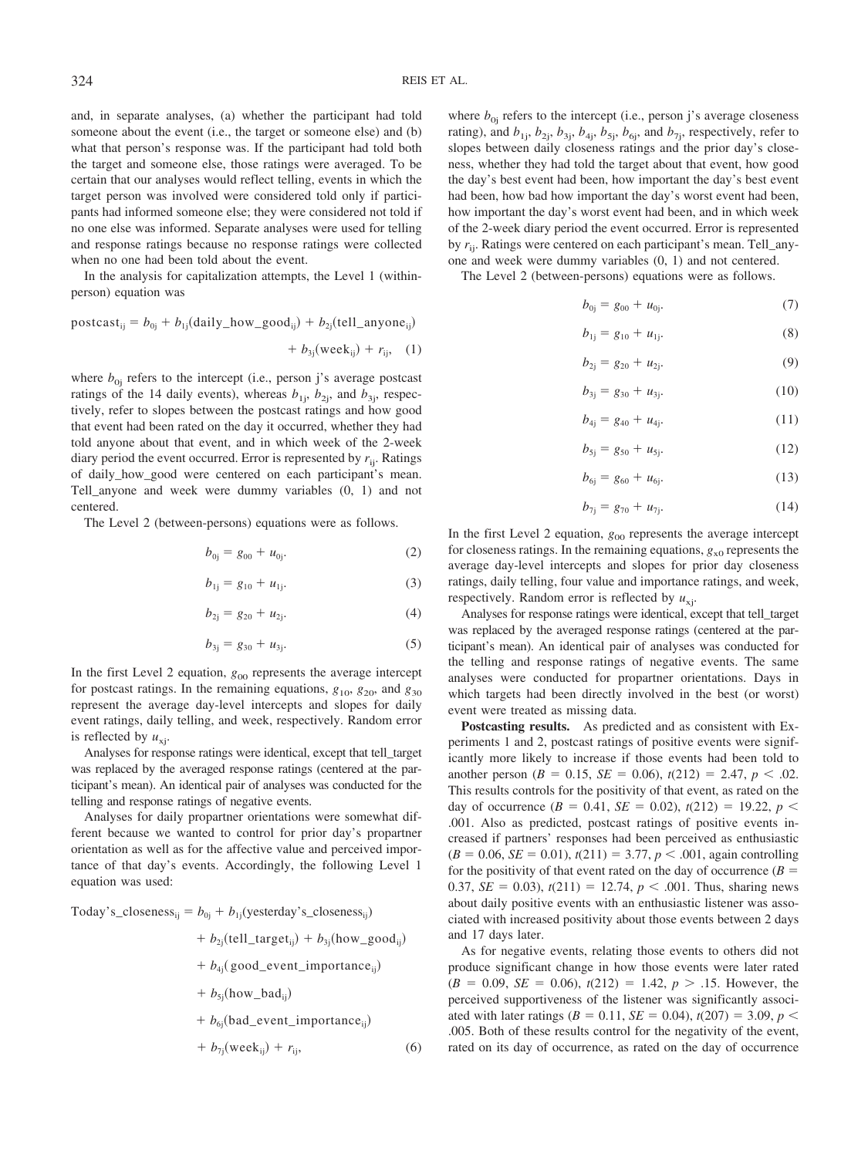and, in separate analyses, (a) whether the participant had told someone about the event (i.e., the target or someone else) and (b) what that person's response was. If the participant had told both the target and someone else, those ratings were averaged. To be certain that our analyses would reflect telling, events in which the target person was involved were considered told only if participants had informed someone else; they were considered not told if no one else was informed. Separate analyses were used for telling and response ratings because no response ratings were collected when no one had been told about the event.

In the analysis for capitalization attempts, the Level 1 (withinperson) equation was

postcast<sub>ij</sub> = 
$$
b_{0j} + b_{1j}(\text{daily\_how\_good}_{ij}) + b_{2j}(\text{tell\_anyone}_{ij})
$$
  
+  $b_{3j}(\text{week}_{ij}) + r_{ij}$ , (1)

where  $b_{0j}$  refers to the intercept (i.e., person j's average postcast ratings of the 14 daily events), whereas  $b_{1i}$ ,  $b_{2i}$ , and  $b_{3i}$ , respectively, refer to slopes between the postcast ratings and how good that event had been rated on the day it occurred, whether they had told anyone about that event, and in which week of the 2-week diary period the event occurred. Error is represented by  $r_{\text{ii}}$ . Ratings of daily\_how\_good were centered on each participant's mean. Tell\_anyone and week were dummy variables (0, 1) and not centered.

The Level 2 (between-persons) equations were as follows.

$$
b_{0j} = g_{00} + u_{0j}.
$$
 (2)

$$
b_{1j} = g_{10} + u_{1j}.
$$
 (3)

$$
b_{2j} = g_{20} + u_{2j}.
$$
 (4)

$$
b_{3j} = g_{30} + u_{3j}.
$$
 (5)

In the first Level 2 equation,  $g_{00}$  represents the average intercept for postcast ratings. In the remaining equations,  $g_{10}$ ,  $g_{20}$ , and  $g_{30}$ represent the average day-level intercepts and slopes for daily event ratings, daily telling, and week, respectively. Random error is reflected by  $u_{xi}$ .

Analyses for response ratings were identical, except that tell\_target was replaced by the averaged response ratings (centered at the participant's mean). An identical pair of analyses was conducted for the telling and response ratings of negative events.

Analyses for daily propartner orientations were somewhat different because we wanted to control for prior day's propartner orientation as well as for the affective value and perceived importance of that day's events. Accordingly, the following Level 1 equation was used:

- Today's\_closeness<sub>ij</sub> =  $b_{0j} + b_{1j}$ (yesterday's\_closeness<sub>ij</sub>)
	- $b_{2j}$ (tell\_target<sub>ij</sub>) +  $b_{3j}$ (how\_good<sub>ij</sub>)  $+ b_{4i}$  good\_event\_importance<sub>ii</sub>)  $+ b_{5i}$ (how\_bad<sub>ii</sub>)  $+ b_{6i}$ (bad\_event\_importance<sub>ii</sub>)  $+ b_{7i}$ (week<sub>ii</sub>) +  $r_{ii}$ , (6)

where  $b_{0i}$  refers to the intercept (i.e., person j's average closeness rating), and  $b_{1j}$ ,  $b_{2j}$ ,  $b_{3j}$ ,  $b_{4j}$ ,  $b_{5j}$ ,  $b_{6j}$ , and  $b_{7j}$ , respectively, refer to slopes between daily closeness ratings and the prior day's closeness, whether they had told the target about that event, how good the day's best event had been, how important the day's best event had been, how bad how important the day's worst event had been, how important the day's worst event had been, and in which week of the 2-week diary period the event occurred. Error is represented by  $r_{ii}$ . Ratings were centered on each participant's mean. Tell\_anyone and week were dummy variables (0, 1) and not centered.

The Level 2 (between-persons) equations were as follows.

$$
b_{0j} = g_{00} + u_{0j}.
$$
 (7)

$$
b_{1j} = g_{10} + u_{1j}.
$$
 (8)

$$
b_{2j} = g_{20} + u_{2j}.
$$
 (9)

$$
b_{3j} = g_{30} + u_{3j}.
$$
 (10)

$$
b_{4j} = g_{40} + u_{4j}.
$$
 (11)

$$
b_{5j} = g_{50} + u_{5j}.
$$
 (12)

$$
b_{6j} = g_{60} + u_{6j}.
$$
 (13)

$$
b_{7j} = g_{70} + u_{7j}.
$$
 (14)

In the first Level 2 equation,  $g_{00}$  represents the average intercept for closeness ratings. In the remaining equations,  $g_{x0}$  represents the average day-level intercepts and slopes for prior day closeness ratings, daily telling, four value and importance ratings, and week, respectively. Random error is reflected by  $u_{xi}$ .

Analyses for response ratings were identical, except that tell\_target was replaced by the averaged response ratings (centered at the participant's mean). An identical pair of analyses was conducted for the telling and response ratings of negative events. The same analyses were conducted for propartner orientations. Days in which targets had been directly involved in the best (or worst) event were treated as missing data.

**Postcasting results.** As predicted and as consistent with Experiments 1 and 2, postcast ratings of positive events were significantly more likely to increase if those events had been told to another person ( $B = 0.15$ ,  $SE = 0.06$ ),  $t(212) = 2.47$ ,  $p < .02$ . This results controls for the positivity of that event, as rated on the day of occurrence  $(B = 0.41, SE = 0.02), t(212) = 19.22, p <$ .001. Also as predicted, postcast ratings of positive events increased if partners' responses had been perceived as enthusiastic  $(B = 0.06, SE = 0.01), t(211) = 3.77, p < .001$ , again controlling for the positivity of that event rated on the day of occurrence  $(B =$ 0.37, *SE* = 0.03),  $t(211) = 12.74$ ,  $p < .001$ . Thus, sharing news about daily positive events with an enthusiastic listener was associated with increased positivity about those events between 2 days and 17 days later.

As for negative events, relating those events to others did not produce significant change in how those events were later rated  $(B = 0.09, SE = 0.06), t(212) = 1.42, p > .15.$  However, the perceived supportiveness of the listener was significantly associated with later ratings ( $B = 0.11$ ,  $SE = 0.04$ ),  $t(207) = 3.09$ ,  $p <$ .005. Both of these results control for the negativity of the event, rated on its day of occurrence, as rated on the day of occurrence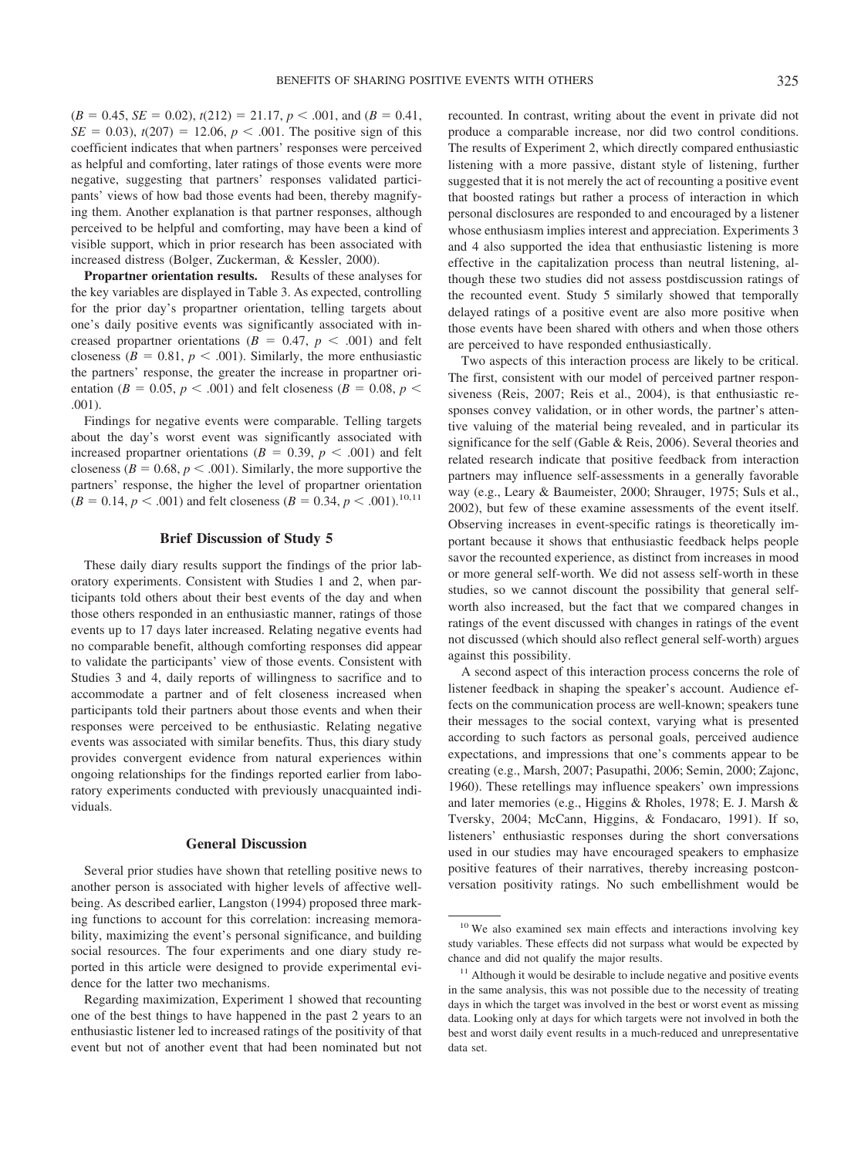$(B = 0.45, SE = 0.02), t(212) = 21.17, p < .001,$  and  $(B = 0.41,$  $SE = 0.03$ ,  $t(207) = 12.06$ ,  $p < .001$ . The positive sign of this coefficient indicates that when partners' responses were perceived as helpful and comforting, later ratings of those events were more negative, suggesting that partners' responses validated participants' views of how bad those events had been, thereby magnifying them. Another explanation is that partner responses, although perceived to be helpful and comforting, may have been a kind of visible support, which in prior research has been associated with increased distress (Bolger, Zuckerman, & Kessler, 2000).

**Propartner orientation results.** Results of these analyses for the key variables are displayed in Table 3. As expected, controlling for the prior day's propartner orientation, telling targets about one's daily positive events was significantly associated with increased propartner orientations ( $B = 0.47$ ,  $p < .001$ ) and felt closeness ( $B = 0.81$ ,  $p < .001$ ). Similarly, the more enthusiastic the partners' response, the greater the increase in propartner orientation (*B* = 0.05, *p* < .001) and felt closeness (*B* = 0.08, *p* < .001).

Findings for negative events were comparable. Telling targets about the day's worst event was significantly associated with increased propartner orientations ( $B = 0.39$ ,  $p < .001$ ) and felt closeness ( $B = 0.68$ ,  $p < .001$ ). Similarly, the more supportive the partners' response, the higher the level of propartner orientation  $(B = 0.14, p < .001)$  and felt closeness  $(B = 0.34, p < .001)$ .<sup>10,11</sup>

### **Brief Discussion of Study 5**

These daily diary results support the findings of the prior laboratory experiments. Consistent with Studies 1 and 2, when participants told others about their best events of the day and when those others responded in an enthusiastic manner, ratings of those events up to 17 days later increased. Relating negative events had no comparable benefit, although comforting responses did appear to validate the participants' view of those events. Consistent with Studies 3 and 4, daily reports of willingness to sacrifice and to accommodate a partner and of felt closeness increased when participants told their partners about those events and when their responses were perceived to be enthusiastic. Relating negative events was associated with similar benefits. Thus, this diary study provides convergent evidence from natural experiences within ongoing relationships for the findings reported earlier from laboratory experiments conducted with previously unacquainted individuals.

#### **General Discussion**

Several prior studies have shown that retelling positive news to another person is associated with higher levels of affective wellbeing. As described earlier, Langston (1994) proposed three marking functions to account for this correlation: increasing memorability, maximizing the event's personal significance, and building social resources. The four experiments and one diary study reported in this article were designed to provide experimental evidence for the latter two mechanisms.

Regarding maximization, Experiment 1 showed that recounting one of the best things to have happened in the past 2 years to an enthusiastic listener led to increased ratings of the positivity of that event but not of another event that had been nominated but not recounted. In contrast, writing about the event in private did not produce a comparable increase, nor did two control conditions. The results of Experiment 2, which directly compared enthusiastic listening with a more passive, distant style of listening, further suggested that it is not merely the act of recounting a positive event that boosted ratings but rather a process of interaction in which personal disclosures are responded to and encouraged by a listener whose enthusiasm implies interest and appreciation. Experiments 3 and 4 also supported the idea that enthusiastic listening is more effective in the capitalization process than neutral listening, although these two studies did not assess postdiscussion ratings of the recounted event. Study 5 similarly showed that temporally delayed ratings of a positive event are also more positive when those events have been shared with others and when those others are perceived to have responded enthusiastically.

Two aspects of this interaction process are likely to be critical. The first, consistent with our model of perceived partner responsiveness (Reis, 2007; Reis et al., 2004), is that enthusiastic responses convey validation, or in other words, the partner's attentive valuing of the material being revealed, and in particular its significance for the self (Gable & Reis, 2006). Several theories and related research indicate that positive feedback from interaction partners may influence self-assessments in a generally favorable way (e.g., Leary & Baumeister, 2000; Shrauger, 1975; Suls et al., 2002), but few of these examine assessments of the event itself. Observing increases in event-specific ratings is theoretically important because it shows that enthusiastic feedback helps people savor the recounted experience, as distinct from increases in mood or more general self-worth. We did not assess self-worth in these studies, so we cannot discount the possibility that general selfworth also increased, but the fact that we compared changes in ratings of the event discussed with changes in ratings of the event not discussed (which should also reflect general self-worth) argues against this possibility.

A second aspect of this interaction process concerns the role of listener feedback in shaping the speaker's account. Audience effects on the communication process are well-known; speakers tune their messages to the social context, varying what is presented according to such factors as personal goals, perceived audience expectations, and impressions that one's comments appear to be creating (e.g., Marsh, 2007; Pasupathi, 2006; Semin, 2000; Zajonc, 1960). These retellings may influence speakers' own impressions and later memories (e.g., Higgins & Rholes, 1978; E. J. Marsh & Tversky, 2004; McCann, Higgins, & Fondacaro, 1991). If so, listeners' enthusiastic responses during the short conversations used in our studies may have encouraged speakers to emphasize positive features of their narratives, thereby increasing postconversation positivity ratings. No such embellishment would be

<sup>10</sup> We also examined sex main effects and interactions involving key study variables. These effects did not surpass what would be expected by chance and did not qualify the major results.

 $11$  Although it would be desirable to include negative and positive events in the same analysis, this was not possible due to the necessity of treating days in which the target was involved in the best or worst event as missing data. Looking only at days for which targets were not involved in both the best and worst daily event results in a much-reduced and unrepresentative data set.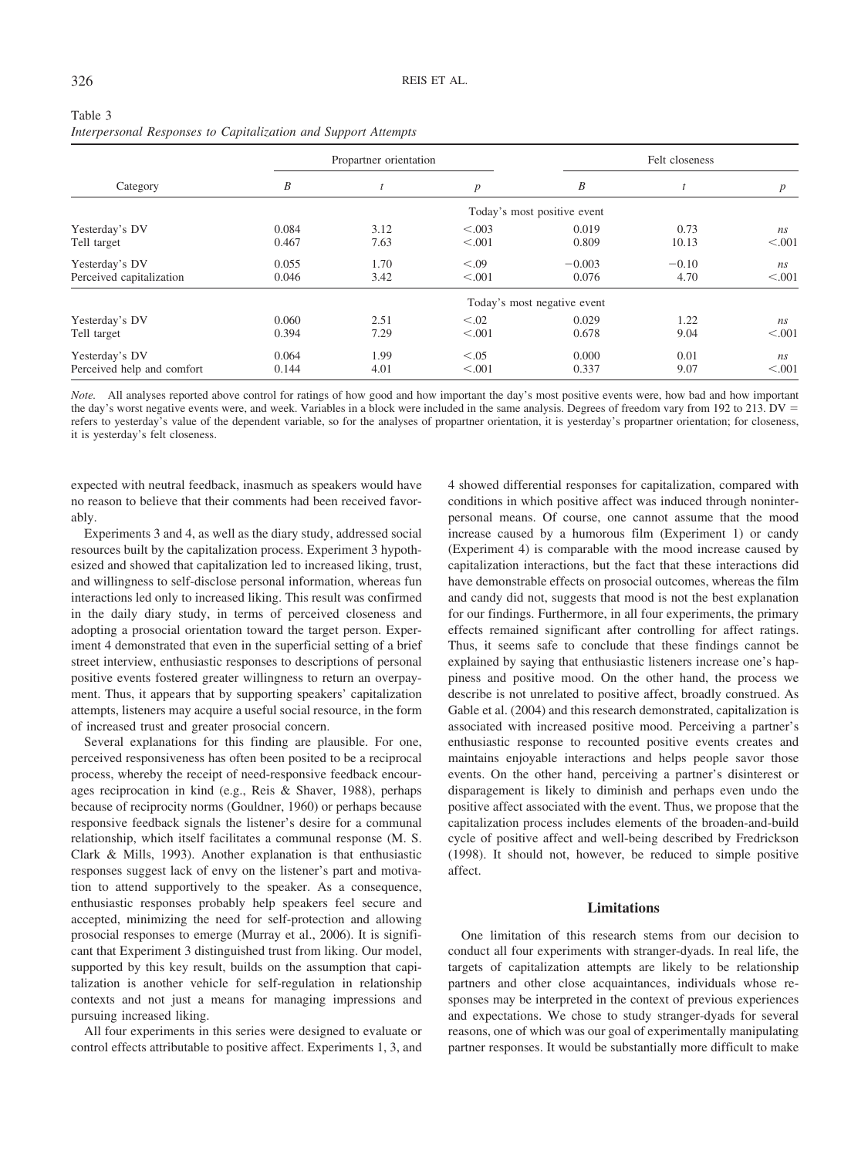|                            |       | Propartner orientation |                  |                             | Felt closeness |                  |
|----------------------------|-------|------------------------|------------------|-----------------------------|----------------|------------------|
| Category                   | В     |                        | $\boldsymbol{p}$ | B                           |                | $\boldsymbol{p}$ |
|                            |       |                        |                  | Today's most positive event |                |                  |
| Yesterday's DV             | 0.084 | 3.12                   | < 0.003          | 0.019                       | 0.73           | $n_{\rm S}$      |
| Tell target                | 0.467 | 7.63                   | < 0.001          | 0.809                       | 10.13          | < 0.001          |
| Yesterday's DV             | 0.055 | 1.70                   | < 0.09           | $-0.003$                    | $-0.10$        | ns               |
| Perceived capitalization   | 0.046 | 3.42                   | < 0.001          | 0.076                       | 4.70           | < 0.001          |
|                            |       |                        |                  | Today's most negative event |                |                  |
| Yesterday's DV             | 0.060 | 2.51                   | < 0.02           | 0.029                       | 1.22           | ns               |
| Tell target                | 0.394 | 7.29                   | < 0.001          | 0.678                       | 9.04           | < 0.001          |
| Yesterday's DV             | 0.064 | 1.99                   | < 0.05           | 0.000                       | 0.01           | ns               |
| Perceived help and comfort | 0.144 | 4.01                   | < 0.001          | 0.337                       | 9.07           | < 0.001          |

| Table 3                                                        |  |  |
|----------------------------------------------------------------|--|--|
| Interpersonal Responses to Capitalization and Support Attempts |  |  |

*Note.* All analyses reported above control for ratings of how good and how important the day's most positive events were, how bad and how important the day's worst negative events were, and week. Variables in a block were included in the same analysis. Degrees of freedom vary from 192 to 213. DV = refers to yesterday's value of the dependent variable, so for the analyses of propartner orientation, it is yesterday's propartner orientation; for closeness, it is yesterday's felt closeness.

expected with neutral feedback, inasmuch as speakers would have no reason to believe that their comments had been received favorably.

Experiments 3 and 4, as well as the diary study, addressed social resources built by the capitalization process. Experiment 3 hypothesized and showed that capitalization led to increased liking, trust, and willingness to self-disclose personal information, whereas fun interactions led only to increased liking. This result was confirmed in the daily diary study, in terms of perceived closeness and adopting a prosocial orientation toward the target person. Experiment 4 demonstrated that even in the superficial setting of a brief street interview, enthusiastic responses to descriptions of personal positive events fostered greater willingness to return an overpayment. Thus, it appears that by supporting speakers' capitalization attempts, listeners may acquire a useful social resource, in the form of increased trust and greater prosocial concern.

Several explanations for this finding are plausible. For one, perceived responsiveness has often been posited to be a reciprocal process, whereby the receipt of need-responsive feedback encourages reciprocation in kind (e.g., Reis & Shaver, 1988), perhaps because of reciprocity norms (Gouldner, 1960) or perhaps because responsive feedback signals the listener's desire for a communal relationship, which itself facilitates a communal response (M. S. Clark & Mills, 1993). Another explanation is that enthusiastic responses suggest lack of envy on the listener's part and motivation to attend supportively to the speaker. As a consequence, enthusiastic responses probably help speakers feel secure and accepted, minimizing the need for self-protection and allowing prosocial responses to emerge (Murray et al., 2006). It is significant that Experiment 3 distinguished trust from liking. Our model, supported by this key result, builds on the assumption that capitalization is another vehicle for self-regulation in relationship contexts and not just a means for managing impressions and pursuing increased liking.

All four experiments in this series were designed to evaluate or control effects attributable to positive affect. Experiments 1, 3, and 4 showed differential responses for capitalization, compared with conditions in which positive affect was induced through noninterpersonal means. Of course, one cannot assume that the mood increase caused by a humorous film (Experiment 1) or candy (Experiment 4) is comparable with the mood increase caused by capitalization interactions, but the fact that these interactions did have demonstrable effects on prosocial outcomes, whereas the film and candy did not, suggests that mood is not the best explanation for our findings. Furthermore, in all four experiments, the primary effects remained significant after controlling for affect ratings. Thus, it seems safe to conclude that these findings cannot be explained by saying that enthusiastic listeners increase one's happiness and positive mood. On the other hand, the process we describe is not unrelated to positive affect, broadly construed. As Gable et al. (2004) and this research demonstrated, capitalization is associated with increased positive mood. Perceiving a partner's enthusiastic response to recounted positive events creates and maintains enjoyable interactions and helps people savor those events. On the other hand, perceiving a partner's disinterest or disparagement is likely to diminish and perhaps even undo the positive affect associated with the event. Thus, we propose that the capitalization process includes elements of the broaden-and-build cycle of positive affect and well-being described by Fredrickson (1998). It should not, however, be reduced to simple positive affect.

### **Limitations**

One limitation of this research stems from our decision to conduct all four experiments with stranger-dyads. In real life, the targets of capitalization attempts are likely to be relationship partners and other close acquaintances, individuals whose responses may be interpreted in the context of previous experiences and expectations. We chose to study stranger-dyads for several reasons, one of which was our goal of experimentally manipulating partner responses. It would be substantially more difficult to make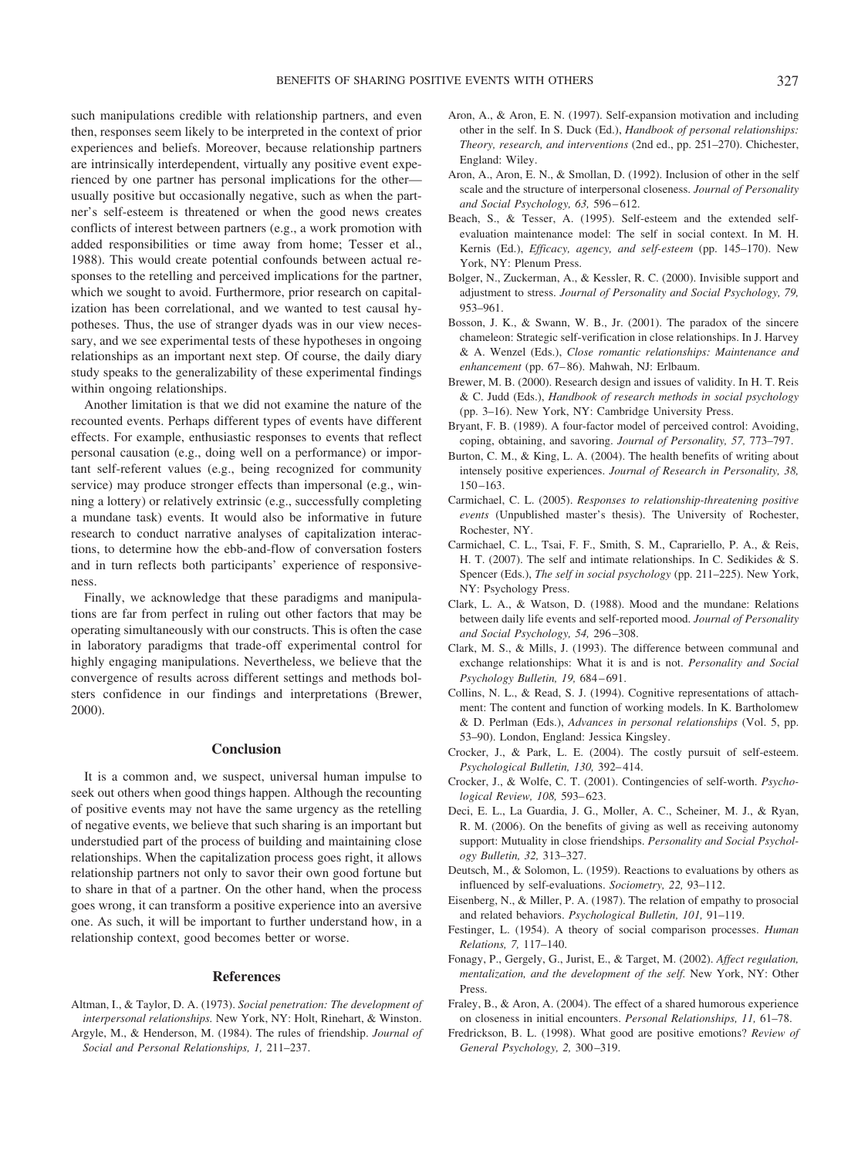such manipulations credible with relationship partners, and even then, responses seem likely to be interpreted in the context of prior experiences and beliefs. Moreover, because relationship partners are intrinsically interdependent, virtually any positive event experienced by one partner has personal implications for the other usually positive but occasionally negative, such as when the partner's self-esteem is threatened or when the good news creates conflicts of interest between partners (e.g., a work promotion with added responsibilities or time away from home; Tesser et al., 1988). This would create potential confounds between actual responses to the retelling and perceived implications for the partner, which we sought to avoid. Furthermore, prior research on capitalization has been correlational, and we wanted to test causal hypotheses. Thus, the use of stranger dyads was in our view necessary, and we see experimental tests of these hypotheses in ongoing relationships as an important next step. Of course, the daily diary study speaks to the generalizability of these experimental findings within ongoing relationships.

Another limitation is that we did not examine the nature of the recounted events. Perhaps different types of events have different effects. For example, enthusiastic responses to events that reflect personal causation (e.g., doing well on a performance) or important self-referent values (e.g., being recognized for community service) may produce stronger effects than impersonal (e.g., winning a lottery) or relatively extrinsic (e.g., successfully completing a mundane task) events. It would also be informative in future research to conduct narrative analyses of capitalization interactions, to determine how the ebb-and-flow of conversation fosters and in turn reflects both participants' experience of responsiveness.

Finally, we acknowledge that these paradigms and manipulations are far from perfect in ruling out other factors that may be operating simultaneously with our constructs. This is often the case in laboratory paradigms that trade-off experimental control for highly engaging manipulations. Nevertheless, we believe that the convergence of results across different settings and methods bolsters confidence in our findings and interpretations (Brewer, 2000).

### **Conclusion**

It is a common and, we suspect, universal human impulse to seek out others when good things happen. Although the recounting of positive events may not have the same urgency as the retelling of negative events, we believe that such sharing is an important but understudied part of the process of building and maintaining close relationships. When the capitalization process goes right, it allows relationship partners not only to savor their own good fortune but to share in that of a partner. On the other hand, when the process goes wrong, it can transform a positive experience into an aversive one. As such, it will be important to further understand how, in a relationship context, good becomes better or worse.

#### **References**

- Altman, I., & Taylor, D. A. (1973). *Social penetration: The development of interpersonal relationships.* New York, NY: Holt, Rinehart, & Winston.
- Argyle, M., & Henderson, M. (1984). The rules of friendship. *Journal of Social and Personal Relationships, 1,* 211–237.
- Aron, A., & Aron, E. N. (1997). Self-expansion motivation and including other in the self. In S. Duck (Ed.), *Handbook of personal relationships: Theory, research, and interventions* (2nd ed., pp. 251–270). Chichester, England: Wiley.
- Aron, A., Aron, E. N., & Smollan, D. (1992). Inclusion of other in the self scale and the structure of interpersonal closeness. *Journal of Personality and Social Psychology, 63,* 596 – 612.
- Beach, S., & Tesser, A. (1995). Self-esteem and the extended selfevaluation maintenance model: The self in social context. In M. H. Kernis (Ed.), *Efficacy, agency, and self-esteem* (pp. 145–170). New York, NY: Plenum Press.
- Bolger, N., Zuckerman, A., & Kessler, R. C. (2000). Invisible support and adjustment to stress. *Journal of Personality and Social Psychology, 79,* 953–961.
- Bosson, J. K., & Swann, W. B., Jr. (2001). The paradox of the sincere chameleon: Strategic self-verification in close relationships. In J. Harvey & A. Wenzel (Eds.), *Close romantic relationships: Maintenance and enhancement* (pp. 67– 86). Mahwah, NJ: Erlbaum.
- Brewer, M. B. (2000). Research design and issues of validity. In H. T. Reis & C. Judd (Eds.), *Handbook of research methods in social psychology* (pp. 3–16). New York, NY: Cambridge University Press.
- Bryant, F. B. (1989). A four-factor model of perceived control: Avoiding, coping, obtaining, and savoring. *Journal of Personality, 57,* 773–797.
- Burton, C. M., & King, L. A. (2004). The health benefits of writing about intensely positive experiences. *Journal of Research in Personality, 38,* 150 –163.
- Carmichael, C. L. (2005). *Responses to relationship-threatening positive events* (Unpublished master's thesis). The University of Rochester, Rochester, NY.
- Carmichael, C. L., Tsai, F. F., Smith, S. M., Caprariello, P. A., & Reis, H. T. (2007). The self and intimate relationships. In C. Sedikides & S. Spencer (Eds.), *The self in social psychology* (pp. 211–225). New York, NY: Psychology Press.
- Clark, L. A., & Watson, D. (1988). Mood and the mundane: Relations between daily life events and self-reported mood. *Journal of Personality and Social Psychology, 54,* 296 –308.
- Clark, M. S., & Mills, J. (1993). The difference between communal and exchange relationships: What it is and is not. *Personality and Social Psychology Bulletin, 19,* 684 – 691.
- Collins, N. L., & Read, S. J. (1994). Cognitive representations of attachment: The content and function of working models. In K. Bartholomew & D. Perlman (Eds.), *Advances in personal relationships* (Vol. 5, pp. 53–90). London, England: Jessica Kingsley.
- Crocker, J., & Park, L. E. (2004). The costly pursuit of self-esteem. *Psychological Bulletin, 130,* 392– 414.
- Crocker, J., & Wolfe, C. T. (2001). Contingencies of self-worth. *Psychological Review, 108,* 593– 623.
- Deci, E. L., La Guardia, J. G., Moller, A. C., Scheiner, M. J., & Ryan, R. M. (2006). On the benefits of giving as well as receiving autonomy support: Mutuality in close friendships. *Personality and Social Psychology Bulletin, 32,* 313–327.
- Deutsch, M., & Solomon, L. (1959). Reactions to evaluations by others as influenced by self-evaluations. *Sociometry, 22,* 93–112.
- Eisenberg, N., & Miller, P. A. (1987). The relation of empathy to prosocial and related behaviors. *Psychological Bulletin, 101,* 91–119.
- Festinger, L. (1954). A theory of social comparison processes. *Human Relations, 7,* 117–140.
- Fonagy, P., Gergely, G., Jurist, E., & Target, M. (2002). *Affect regulation, mentalization, and the development of the self.* New York, NY: Other Press.
- Fraley, B., & Aron, A. (2004). The effect of a shared humorous experience on closeness in initial encounters. *Personal Relationships, 11,* 61–78.
- Fredrickson, B. L. (1998). What good are positive emotions? *Review of General Psychology, 2,* 300 –319.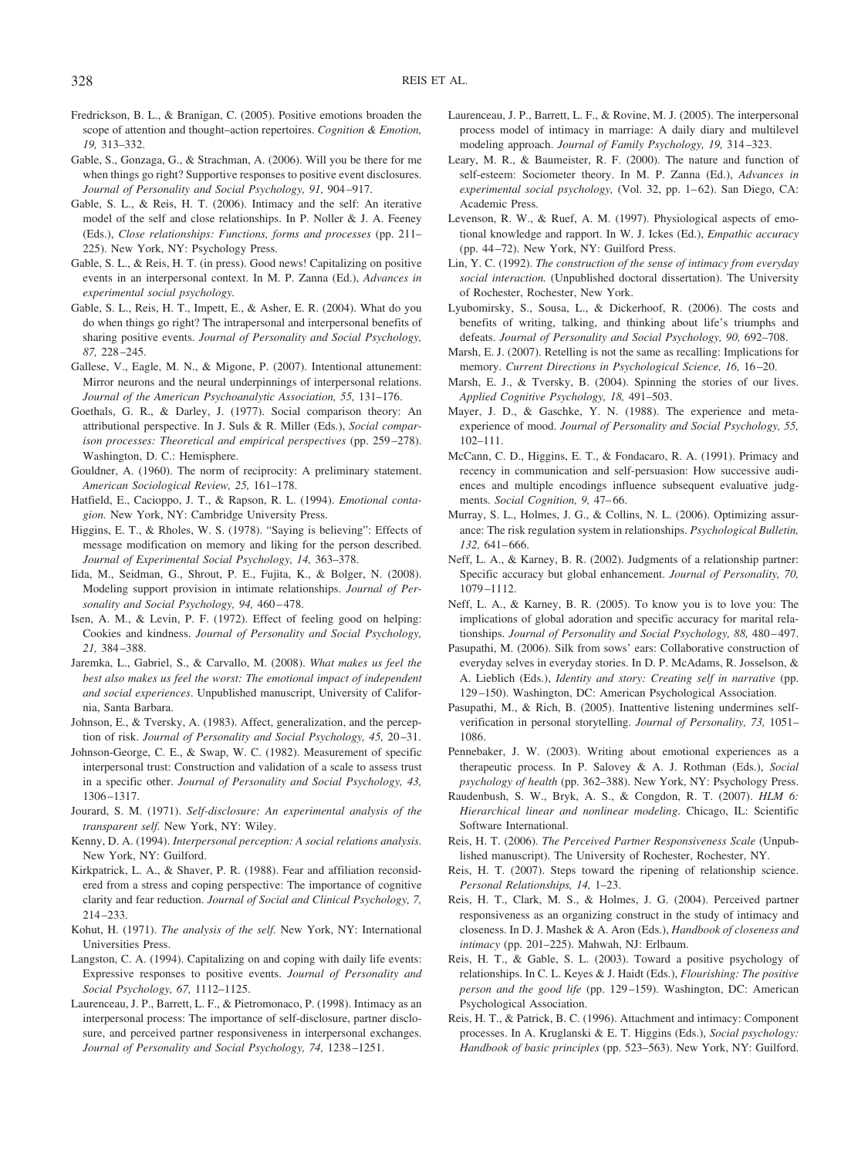- Fredrickson, B. L., & Branigan, C. (2005). Positive emotions broaden the scope of attention and thought–action repertoires. *Cognition & Emotion, 19,* 313–332.
- Gable, S., Gonzaga, G., & Strachman, A. (2006). Will you be there for me when things go right? Supportive responses to positive event disclosures. *Journal of Personality and Social Psychology, 91,* 904 –917.
- Gable, S. L., & Reis, H. T. (2006). Intimacy and the self: An iterative model of the self and close relationships. In P. Noller & J. A. Feeney (Eds.), *Close relationships: Functions, forms and processes* (pp. 211– 225). New York, NY: Psychology Press.
- Gable, S. L., & Reis, H. T. (in press). Good news! Capitalizing on positive events in an interpersonal context. In M. P. Zanna (Ed.), *Advances in experimental social psychology.*
- Gable, S. L., Reis, H. T., Impett, E., & Asher, E. R. (2004). What do you do when things go right? The intrapersonal and interpersonal benefits of sharing positive events. *Journal of Personality and Social Psychology, 87,* 228 –245.
- Gallese, V., Eagle, M. N., & Migone, P. (2007). Intentional attunement: Mirror neurons and the neural underpinnings of interpersonal relations. *Journal of the American Psychoanalytic Association, 55,* 131–176.
- Goethals, G. R., & Darley, J. (1977). Social comparison theory: An attributional perspective. In J. Suls & R. Miller (Eds.), *Social comparison processes: Theoretical and empirical perspectives* (pp. 259 –278). Washington, D. C.: Hemisphere.
- Gouldner, A. (1960). The norm of reciprocity: A preliminary statement. *American Sociological Review, 25,* 161–178.
- Hatfield, E., Cacioppo, J. T., & Rapson, R. L. (1994). *Emotional contagion.* New York, NY: Cambridge University Press.
- Higgins, E. T., & Rholes, W. S. (1978). "Saying is believing": Effects of message modification on memory and liking for the person described. *Journal of Experimental Social Psychology, 14,* 363–378.
- Iida, M., Seidman, G., Shrout, P. E., Fujita, K., & Bolger, N. (2008). Modeling support provision in intimate relationships. *Journal of Personality and Social Psychology, 94,* 460 – 478.
- Isen, A. M., & Levin, P. F. (1972). Effect of feeling good on helping: Cookies and kindness. *Journal of Personality and Social Psychology, 21,* 384 –388.
- Jaremka, L., Gabriel, S., & Carvallo, M. (2008). *What makes us feel the best also makes us feel the worst: The emotional impact of independent and social experiences*. Unpublished manuscript, University of California, Santa Barbara.
- Johnson, E., & Tversky, A. (1983). Affect, generalization, and the perception of risk. *Journal of Personality and Social Psychology, 45, 20–31.*
- Johnson-George, C. E., & Swap, W. C. (1982). Measurement of specific interpersonal trust: Construction and validation of a scale to assess trust in a specific other. *Journal of Personality and Social Psychology, 43,* 1306 –1317.
- Jourard, S. M. (1971). *Self-disclosure: An experimental analysis of the transparent self.* New York, NY: Wiley.
- Kenny, D. A. (1994). *Interpersonal perception: A social relations analysis.* New York, NY: Guilford.
- Kirkpatrick, L. A., & Shaver, P. R. (1988). Fear and affiliation reconsidered from a stress and coping perspective: The importance of cognitive clarity and fear reduction. *Journal of Social and Clinical Psychology, 7,* 214 –233.
- Kohut, H. (1971). *The analysis of the self.* New York, NY: International Universities Press.
- Langston, C. A. (1994). Capitalizing on and coping with daily life events: Expressive responses to positive events. *Journal of Personality and Social Psychology, 67,* 1112–1125.
- Laurenceau, J. P., Barrett, L. F., & Pietromonaco, P. (1998). Intimacy as an interpersonal process: The importance of self-disclosure, partner disclosure, and perceived partner responsiveness in interpersonal exchanges. *Journal of Personality and Social Psychology, 74,* 1238 –1251.
- Laurenceau, J. P., Barrett, L. F., & Rovine, M. J. (2005). The interpersonal process model of intimacy in marriage: A daily diary and multilevel modeling approach. *Journal of Family Psychology, 19,* 314 –323.
- Leary, M. R., & Baumeister, R. F. (2000). The nature and function of self-esteem: Sociometer theory. In M. P. Zanna (Ed.), *Advances in experimental social psychology,* (Vol. 32, pp. 1–62). San Diego, CA: Academic Press.
- Levenson, R. W., & Ruef, A. M. (1997). Physiological aspects of emotional knowledge and rapport. In W. J. Ickes (Ed.), *Empathic accuracy* (pp. 44 –72). New York, NY: Guilford Press.
- Lin, Y. C. (1992). *The construction of the sense of intimacy from everyday social interaction.* (Unpublished doctoral dissertation). The University of Rochester, Rochester, New York.
- Lyubomirsky, S., Sousa, L., & Dickerhoof, R. (2006). The costs and benefits of writing, talking, and thinking about life's triumphs and defeats. *Journal of Personality and Social Psychology, 90,* 692–708.
- Marsh, E. J. (2007). Retelling is not the same as recalling: Implications for memory. *Current Directions in Psychological Science, 16,* 16 –20.
- Marsh, E. J., & Tversky, B. (2004). Spinning the stories of our lives. *Applied Cognitive Psychology, 18,* 491–503.
- Mayer, J. D., & Gaschke, Y. N. (1988). The experience and metaexperience of mood. *Journal of Personality and Social Psychology, 55,* 102–111.
- McCann, C. D., Higgins, E. T., & Fondacaro, R. A. (1991). Primacy and recency in communication and self-persuasion: How successive audiences and multiple encodings influence subsequent evaluative judgments. *Social Cognition*, 9, 47-66.
- Murray, S. L., Holmes, J. G., & Collins, N. L. (2006). Optimizing assurance: The risk regulation system in relationships. *Psychological Bulletin, 132,* 641– 666.
- Neff, L. A., & Karney, B. R. (2002). Judgments of a relationship partner: Specific accuracy but global enhancement. *Journal of Personality, 70,* 1079 –1112.
- Neff, L. A., & Karney, B. R. (2005). To know you is to love you: The implications of global adoration and specific accuracy for marital relationships. *Journal of Personality and Social Psychology, 88, 480-497*.
- Pasupathi, M. (2006). Silk from sows' ears: Collaborative construction of everyday selves in everyday stories. In D. P. McAdams, R. Josselson, & A. Lieblich (Eds.), *Identity and story: Creating self in narrative* (pp. 129 –150). Washington, DC: American Psychological Association.
- Pasupathi, M., & Rich, B. (2005). Inattentive listening undermines selfverification in personal storytelling. *Journal of Personality, 73,* 1051– 1086.
- Pennebaker, J. W. (2003). Writing about emotional experiences as a therapeutic process. In P. Salovey & A. J. Rothman (Eds.), *Social psychology of health* (pp. 362–388). New York, NY: Psychology Press.
- Raudenbush, S. W., Bryk, A. S., & Congdon, R. T. (2007). *HLM 6: Hierarchical linear and nonlinear modeling*. Chicago, IL: Scientific Software International.
- Reis, H. T. (2006). *The Perceived Partner Responsiveness Scale* (Unpublished manuscript). The University of Rochester, Rochester, NY.
- Reis, H. T. (2007). Steps toward the ripening of relationship science. *Personal Relationships, 14,* 1–23.
- Reis, H. T., Clark, M. S., & Holmes, J. G. (2004). Perceived partner responsiveness as an organizing construct in the study of intimacy and closeness. In D. J. Mashek & A. Aron (Eds.), *Handbook of closeness and intimacy* (pp. 201–225). Mahwah, NJ: Erlbaum.
- Reis, H. T., & Gable, S. L. (2003). Toward a positive psychology of relationships. In C. L. Keyes & J. Haidt (Eds.), *Flourishing: The positive person and the good life* (pp. 129 –159). Washington, DC: American Psychological Association.
- Reis, H. T., & Patrick, B. C. (1996). Attachment and intimacy: Component processes. In A. Kruglanski & E. T. Higgins (Eds.), *Social psychology: Handbook of basic principles* (pp. 523–563). New York, NY: Guilford.